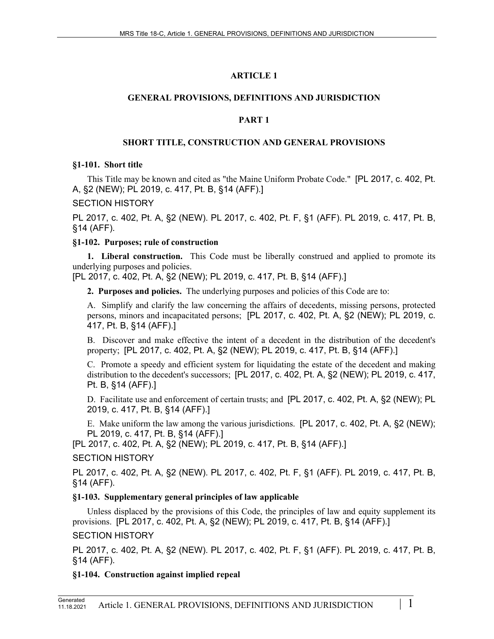## **ARTICLE 1**

## **GENERAL PROVISIONS, DEFINITIONS AND JURISDICTION**

## **PART 1**

## **SHORT TITLE, CONSTRUCTION AND GENERAL PROVISIONS**

### **§1-101. Short title**

This Title may be known and cited as "the Maine Uniform Probate Code." [PL 2017, c. 402, Pt. A, §2 (NEW); PL 2019, c. 417, Pt. B, §14 (AFF).]

## SECTION HISTORY

PL 2017, c. 402, Pt. A, §2 (NEW). PL 2017, c. 402, Pt. F, §1 (AFF). PL 2019, c. 417, Pt. B, §14 (AFF).

## **§1-102. Purposes; rule of construction**

**1. Liberal construction.** This Code must be liberally construed and applied to promote its underlying purposes and policies.

[PL 2017, c. 402, Pt. A, §2 (NEW); PL 2019, c. 417, Pt. B, §14 (AFF).]

**2. Purposes and policies.** The underlying purposes and policies of this Code are to:

A. Simplify and clarify the law concerning the affairs of decedents, missing persons, protected persons, minors and incapacitated persons; [PL 2017, c. 402, Pt. A, §2 (NEW); PL 2019, c. 417, Pt. B, §14 (AFF).]

B. Discover and make effective the intent of a decedent in the distribution of the decedent's property; [PL 2017, c. 402, Pt. A, §2 (NEW); PL 2019, c. 417, Pt. B, §14 (AFF).]

C. Promote a speedy and efficient system for liquidating the estate of the decedent and making distribution to the decedent's successors; [PL 2017, c. 402, Pt. A, §2 (NEW); PL 2019, c. 417, Pt. B, §14 (AFF).]

D. Facilitate use and enforcement of certain trusts; and [PL 2017, c. 402, Pt. A, §2 (NEW); PL 2019, c. 417, Pt. B, §14 (AFF).]

E. Make uniform the law among the various jurisdictions. [PL 2017, c. 402, Pt. A, §2 (NEW); PL 2019, c. 417, Pt. B, §14 (AFF).]

[PL 2017, c. 402, Pt. A, §2 (NEW); PL 2019, c. 417, Pt. B, §14 (AFF).]

## SECTION HISTORY

PL 2017, c. 402, Pt. A, §2 (NEW). PL 2017, c. 402, Pt. F, §1 (AFF). PL 2019, c. 417, Pt. B, §14 (AFF).

## **§1-103. Supplementary general principles of law applicable**

Unless displaced by the provisions of this Code, the principles of law and equity supplement its provisions. [PL 2017, c. 402, Pt. A, §2 (NEW); PL 2019, c. 417, Pt. B, §14 (AFF).] SECTION HISTORY

PL 2017, c. 402, Pt. A, §2 (NEW). PL 2017, c. 402, Pt. F, §1 (AFF). PL 2019, c. 417, Pt. B, §14 (AFF).

## **§1-104. Construction against implied repeal**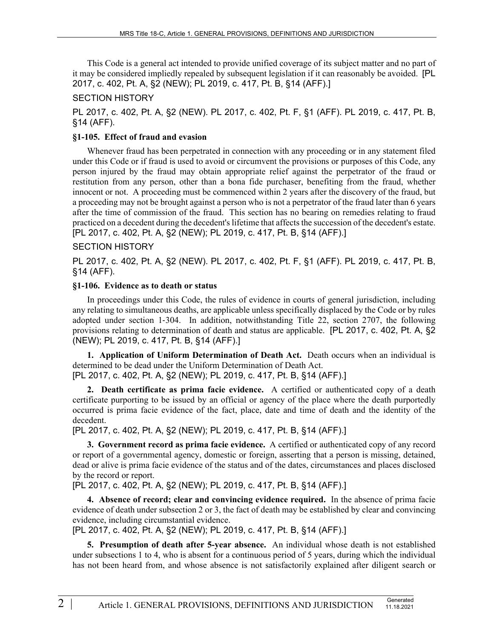This Code is a general act intended to provide unified coverage of its subject matter and no part of it may be considered impliedly repealed by subsequent legislation if it can reasonably be avoided. [PL 2017, c. 402, Pt. A, §2 (NEW); PL 2019, c. 417, Pt. B, §14 (AFF).]

#### SECTION HISTORY

PL 2017, c. 402, Pt. A, §2 (NEW). PL 2017, c. 402, Pt. F, §1 (AFF). PL 2019, c. 417, Pt. B, §14 (AFF).

#### **§1-105. Effect of fraud and evasion**

Whenever fraud has been perpetrated in connection with any proceeding or in any statement filed under this Code or if fraud is used to avoid or circumvent the provisions or purposes of this Code, any person injured by the fraud may obtain appropriate relief against the perpetrator of the fraud or restitution from any person, other than a bona fide purchaser, benefiting from the fraud, whether innocent or not. A proceeding must be commenced within 2 years after the discovery of the fraud, but a proceeding may not be brought against a person who is not a perpetrator of the fraud later than 6 years after the time of commission of the fraud. This section has no bearing on remedies relating to fraud practiced on a decedent during the decedent's lifetime that affects the succession of the decedent's estate. [PL 2017, c. 402, Pt. A, §2 (NEW); PL 2019, c. 417, Pt. B, §14 (AFF).]

#### SECTION HISTORY

PL 2017, c. 402, Pt. A, §2 (NEW). PL 2017, c. 402, Pt. F, §1 (AFF). PL 2019, c. 417, Pt. B, §14 (AFF).

#### **§1-106. Evidence as to death or status**

In proceedings under this Code, the rules of evidence in courts of general jurisdiction, including any relating to simultaneous deaths, are applicable unless specifically displaced by the Code or by rules adopted under section 1‑304. In addition, notwithstanding Title 22, section 2707, the following provisions relating to determination of death and status are applicable. [PL 2017, c. 402, Pt. A, §2 (NEW); PL 2019, c. 417, Pt. B, §14 (AFF).]

**1. Application of Uniform Determination of Death Act.** Death occurs when an individual is determined to be dead under the Uniform Determination of Death Act. [PL 2017, c. 402, Pt. A, §2 (NEW); PL 2019, c. 417, Pt. B, §14 (AFF).]

**2. Death certificate as prima facie evidence.** A certified or authenticated copy of a death certificate purporting to be issued by an official or agency of the place where the death purportedly occurred is prima facie evidence of the fact, place, date and time of death and the identity of the decedent.

[PL 2017, c. 402, Pt. A, §2 (NEW); PL 2019, c. 417, Pt. B, §14 (AFF).]

**3. Government record as prima facie evidence.** A certified or authenticated copy of any record or report of a governmental agency, domestic or foreign, asserting that a person is missing, detained, dead or alive is prima facie evidence of the status and of the dates, circumstances and places disclosed by the record or report.

[PL 2017, c. 402, Pt. A, §2 (NEW); PL 2019, c. 417, Pt. B, §14 (AFF).]

**4. Absence of record; clear and convincing evidence required.** In the absence of prima facie evidence of death under subsection 2 or 3, the fact of death may be established by clear and convincing evidence, including circumstantial evidence.

[PL 2017, c. 402, Pt. A, §2 (NEW); PL 2019, c. 417, Pt. B, §14 (AFF).]

**5. Presumption of death after 5-year absence.** An individual whose death is not established under subsections 1 to 4, who is absent for a continuous period of 5 years, during which the individual has not been heard from, and whose absence is not satisfactorily explained after diligent search or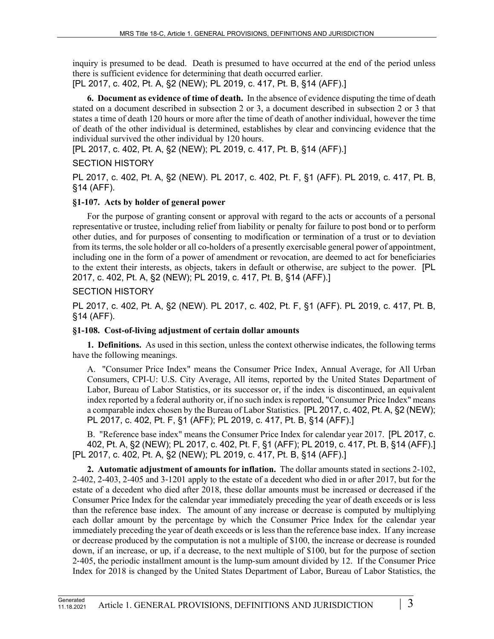inquiry is presumed to be dead. Death is presumed to have occurred at the end of the period unless there is sufficient evidence for determining that death occurred earlier. [PL 2017, c. 402, Pt. A, §2 (NEW); PL 2019, c. 417, Pt. B, §14 (AFF).]

**6. Document as evidence of time of death.** In the absence of evidence disputing the time of death stated on a document described in subsection 2 or 3, a document described in subsection 2 or 3 that states a time of death 120 hours or more after the time of death of another individual, however the time of death of the other individual is determined, establishes by clear and convincing evidence that the individual survived the other individual by 120 hours.

[PL 2017, c. 402, Pt. A, §2 (NEW); PL 2019, c. 417, Pt. B, §14 (AFF).]

## SECTION HISTORY

PL 2017, c. 402, Pt. A, §2 (NEW). PL 2017, c. 402, Pt. F, §1 (AFF). PL 2019, c. 417, Pt. B, §14 (AFF).

## **§1-107. Acts by holder of general power**

For the purpose of granting consent or approval with regard to the acts or accounts of a personal representative or trustee, including relief from liability or penalty for failure to post bond or to perform other duties, and for purposes of consenting to modification or termination of a trust or to deviation from its terms, the sole holder or all co-holders of a presently exercisable general power of appointment, including one in the form of a power of amendment or revocation, are deemed to act for beneficiaries to the extent their interests, as objects, takers in default or otherwise, are subject to the power. [PL 2017, c. 402, Pt. A, §2 (NEW); PL 2019, c. 417, Pt. B, §14 (AFF).]

## SECTION HISTORY

PL 2017, c. 402, Pt. A, §2 (NEW). PL 2017, c. 402, Pt. F, §1 (AFF). PL 2019, c. 417, Pt. B, §14 (AFF).

### **§1-108. Cost-of-living adjustment of certain dollar amounts**

**1. Definitions.** As used in this section, unless the context otherwise indicates, the following terms have the following meanings.

A. "Consumer Price Index" means the Consumer Price Index, Annual Average, for All Urban Consumers, CPI-U: U.S. City Average, All items, reported by the United States Department of Labor, Bureau of Labor Statistics, or its successor or, if the index is discontinued, an equivalent index reported by a federal authority or, if no such index is reported, "Consumer Price Index" means a comparable index chosen by the Bureau of Labor Statistics. [PL 2017, c. 402, Pt. A, §2 (NEW); PL 2017, c. 402, Pt. F, §1 (AFF); PL 2019, c. 417, Pt. B, §14 (AFF).]

B. "Reference base index" means the Consumer Price Index for calendar year 2017. [PL 2017, c. 402, Pt. A, §2 (NEW); PL 2017, c. 402, Pt. F, §1 (AFF); PL 2019, c. 417, Pt. B, §14 (AFF).] [PL 2017, c. 402, Pt. A, §2 (NEW); PL 2019, c. 417, Pt. B, §14 (AFF).]

**2. Automatic adjustment of amounts for inflation.** The dollar amounts stated in sections 2-102, 2-402, 2-403, 2-405 and 3‑1201 apply to the estate of a decedent who died in or after 2017, but for the estate of a decedent who died after 2018, these dollar amounts must be increased or decreased if the Consumer Price Index for the calendar year immediately preceding the year of death exceeds or is less than the reference base index. The amount of any increase or decrease is computed by multiplying each dollar amount by the percentage by which the Consumer Price Index for the calendar year immediately preceding the year of death exceeds or is less than the reference base index. If any increase or decrease produced by the computation is not a multiple of \$100, the increase or decrease is rounded down, if an increase, or up, if a decrease, to the next multiple of \$100, but for the purpose of section 2‑405, the periodic installment amount is the lump-sum amount divided by 12. If the Consumer Price Index for 2018 is changed by the United States Department of Labor, Bureau of Labor Statistics, the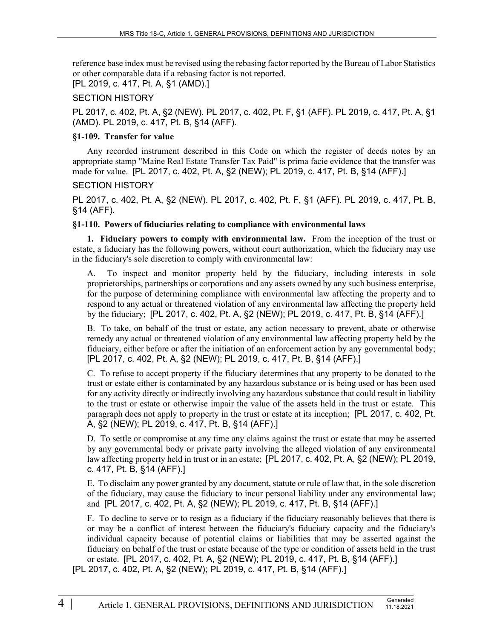reference base index must be revised using the rebasing factor reported by the Bureau of Labor Statistics or other comparable data if a rebasing factor is not reported.

[PL 2019, c. 417, Pt. A, §1 (AMD).]

### SECTION HISTORY

PL 2017, c. 402, Pt. A, §2 (NEW). PL 2017, c. 402, Pt. F, §1 (AFF). PL 2019, c. 417, Pt. A, §1 (AMD). PL 2019, c. 417, Pt. B, §14 (AFF).

#### **§1-109. Transfer for value**

Any recorded instrument described in this Code on which the register of deeds notes by an appropriate stamp "Maine Real Estate Transfer Tax Paid" is prima facie evidence that the transfer was made for value. [PL 2017, c. 402, Pt. A, §2 (NEW); PL 2019, c. 417, Pt. B, §14 (AFF).]

#### SECTION HISTORY

PL 2017, c. 402, Pt. A, §2 (NEW). PL 2017, c. 402, Pt. F, §1 (AFF). PL 2019, c. 417, Pt. B, §14 (AFF).

### **§1-110. Powers of fiduciaries relating to compliance with environmental laws**

**1. Fiduciary powers to comply with environmental law.** From the inception of the trust or estate, a fiduciary has the following powers, without court authorization, which the fiduciary may use in the fiduciary's sole discretion to comply with environmental law:

A. To inspect and monitor property held by the fiduciary, including interests in sole proprietorships, partnerships or corporations and any assets owned by any such business enterprise, for the purpose of determining compliance with environmental law affecting the property and to respond to any actual or threatened violation of any environmental law affecting the property held by the fiduciary; [PL 2017, c. 402, Pt. A, §2 (NEW); PL 2019, c. 417, Pt. B, §14 (AFF).]

B. To take, on behalf of the trust or estate, any action necessary to prevent, abate or otherwise remedy any actual or threatened violation of any environmental law affecting property held by the fiduciary, either before or after the initiation of an enforcement action by any governmental body; [PL 2017, c. 402, Pt. A, §2 (NEW); PL 2019, c. 417, Pt. B, §14 (AFF).]

C. To refuse to accept property if the fiduciary determines that any property to be donated to the trust or estate either is contaminated by any hazardous substance or is being used or has been used for any activity directly or indirectly involving any hazardous substance that could result in liability to the trust or estate or otherwise impair the value of the assets held in the trust or estate. This paragraph does not apply to property in the trust or estate at its inception; [PL 2017, c. 402, Pt. A, §2 (NEW); PL 2019, c. 417, Pt. B, §14 (AFF).]

D. To settle or compromise at any time any claims against the trust or estate that may be asserted by any governmental body or private party involving the alleged violation of any environmental law affecting property held in trust or in an estate; [PL 2017, c. 402, Pt. A, §2 (NEW); PL 2019, c. 417, Pt. B, §14 (AFF).]

E. To disclaim any power granted by any document, statute or rule of law that, in the sole discretion of the fiduciary, may cause the fiduciary to incur personal liability under any environmental law; and [PL 2017, c. 402, Pt. A, §2 (NEW); PL 2019, c. 417, Pt. B, §14 (AFF).]

F. To decline to serve or to resign as a fiduciary if the fiduciary reasonably believes that there is or may be a conflict of interest between the fiduciary's fiduciary capacity and the fiduciary's individual capacity because of potential claims or liabilities that may be asserted against the fiduciary on behalf of the trust or estate because of the type or condition of assets held in the trust or estate. [PL 2017, c. 402, Pt. A, §2 (NEW); PL 2019, c. 417, Pt. B, §14 (AFF).]

[PL 2017, c. 402, Pt. A, §2 (NEW); PL 2019, c. 417, Pt. B, §14 (AFF).]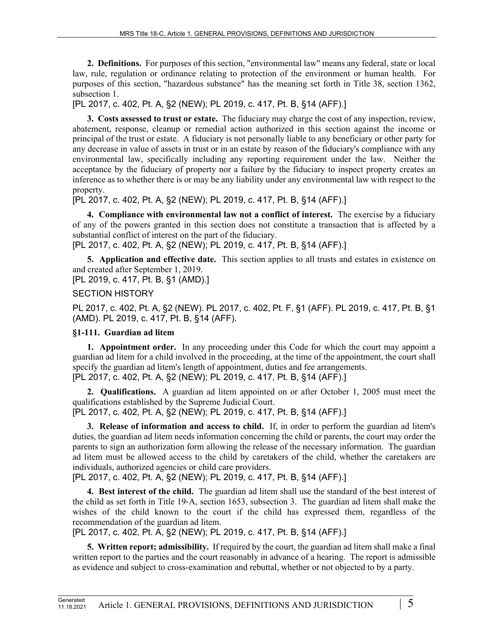**2. Definitions.** For purposes of this section, "environmental law" means any federal, state or local law, rule, regulation or ordinance relating to protection of the environment or human health. For purposes of this section, "hazardous substance" has the meaning set forth in Title 38, section 1362, subsection 1.

[PL 2017, c. 402, Pt. A, §2 (NEW); PL 2019, c. 417, Pt. B, §14 (AFF).]

**3. Costs assessed to trust or estate.** The fiduciary may charge the cost of any inspection, review, abatement, response, cleanup or remedial action authorized in this section against the income or principal of the trust or estate. A fiduciary is not personally liable to any beneficiary or other party for any decrease in value of assets in trust or in an estate by reason of the fiduciary's compliance with any environmental law, specifically including any reporting requirement under the law. Neither the acceptance by the fiduciary of property nor a failure by the fiduciary to inspect property creates an inference as to whether there is or may be any liability under any environmental law with respect to the property.

[PL 2017, c. 402, Pt. A, §2 (NEW); PL 2019, c. 417, Pt. B, §14 (AFF).]

**4. Compliance with environmental law not a conflict of interest.** The exercise by a fiduciary of any of the powers granted in this section does not constitute a transaction that is affected by a substantial conflict of interest on the part of the fiduciary.

[PL 2017, c. 402, Pt. A, §2 (NEW); PL 2019, c. 417, Pt. B, §14 (AFF).]

**5. Application and effective date.** This section applies to all trusts and estates in existence on and created after September 1, 2019.

[PL 2019, c. 417, Pt. B, §1 (AMD).]

## SECTION HISTORY

PL 2017, c. 402, Pt. A, §2 (NEW). PL 2017, c. 402, Pt. F, §1 (AFF). PL 2019, c. 417, Pt. B, §1 (AMD). PL 2019, c. 417, Pt. B, §14 (AFF).

## **§1-111. Guardian ad litem**

**1. Appointment order.** In any proceeding under this Code for which the court may appoint a guardian ad litem for a child involved in the proceeding, at the time of the appointment, the court shall specify the guardian ad litem's length of appointment, duties and fee arrangements. [PL 2017, c. 402, Pt. A, §2 (NEW); PL 2019, c. 417, Pt. B, §14 (AFF).]

**2. Qualifications.** A guardian ad litem appointed on or after October 1, 2005 must meet the qualifications established by the Supreme Judicial Court.

[PL 2017, c. 402, Pt. A, §2 (NEW); PL 2019, c. 417, Pt. B, §14 (AFF).]

**3. Release of information and access to child.** If, in order to perform the guardian ad litem's duties, the guardian ad litem needs information concerning the child or parents, the court may order the parents to sign an authorization form allowing the release of the necessary information. The guardian ad litem must be allowed access to the child by caretakers of the child, whether the caretakers are individuals, authorized agencies or child care providers.

[PL 2017, c. 402, Pt. A, §2 (NEW); PL 2019, c. 417, Pt. B, §14 (AFF).]

**4. Best interest of the child.** The guardian ad litem shall use the standard of the best interest of the child as set forth in Title 19‑A, section 1653, subsection 3. The guardian ad litem shall make the wishes of the child known to the court if the child has expressed them, regardless of the recommendation of the guardian ad litem.

[PL 2017, c. 402, Pt. A, §2 (NEW); PL 2019, c. 417, Pt. B, §14 (AFF).]

**5. Written report; admissibility.** If required by the court, the guardian ad litem shall make a final written report to the parties and the court reasonably in advance of a hearing. The report is admissible as evidence and subject to cross-examination and rebuttal, whether or not objected to by a party.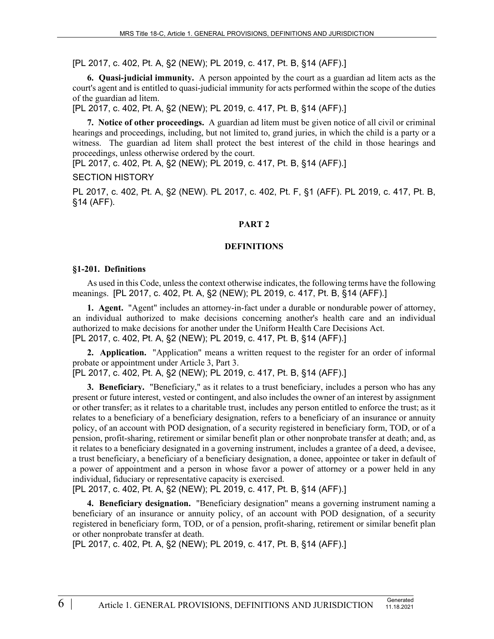[PL 2017, c. 402, Pt. A, §2 (NEW); PL 2019, c. 417, Pt. B, §14 (AFF).]

**6. Quasi-judicial immunity.** A person appointed by the court as a guardian ad litem acts as the court's agent and is entitled to quasi-judicial immunity for acts performed within the scope of the duties of the guardian ad litem.

[PL 2017, c. 402, Pt. A, §2 (NEW); PL 2019, c. 417, Pt. B, §14 (AFF).]

**7. Notice of other proceedings.** A guardian ad litem must be given notice of all civil or criminal hearings and proceedings, including, but not limited to, grand juries, in which the child is a party or a witness. The guardian ad litem shall protect the best interest of the child in those hearings and proceedings, unless otherwise ordered by the court.

[PL 2017, c. 402, Pt. A, §2 (NEW); PL 2019, c. 417, Pt. B, §14 (AFF).]

SECTION HISTORY

PL 2017, c. 402, Pt. A, §2 (NEW). PL 2017, c. 402, Pt. F, §1 (AFF). PL 2019, c. 417, Pt. B, §14 (AFF).

#### **PART 2**

#### **DEFINITIONS**

#### **§1-201. Definitions**

As used in this Code, unless the context otherwise indicates, the following terms have the following meanings. [PL 2017, c. 402, Pt. A, §2 (NEW); PL 2019, c. 417, Pt. B, §14 (AFF).]

**1. Agent.** "Agent" includes an attorney-in-fact under a durable or nondurable power of attorney, an individual authorized to make decisions concerning another's health care and an individual authorized to make decisions for another under the Uniform Health Care Decisions Act. [PL 2017, c. 402, Pt. A, §2 (NEW); PL 2019, c. 417, Pt. B, §14 (AFF).]

**2. Application.** "Application" means a written request to the register for an order of informal probate or appointment under Article 3, Part 3.

[PL 2017, c. 402, Pt. A, §2 (NEW); PL 2019, c. 417, Pt. B, §14 (AFF).]

**3. Beneficiary.** "Beneficiary," as it relates to a trust beneficiary, includes a person who has any present or future interest, vested or contingent, and also includes the owner of an interest by assignment or other transfer; as it relates to a charitable trust, includes any person entitled to enforce the trust; as it relates to a beneficiary of a beneficiary designation, refers to a beneficiary of an insurance or annuity policy, of an account with POD designation, of a security registered in beneficiary form, TOD, or of a pension, profit-sharing, retirement or similar benefit plan or other nonprobate transfer at death; and, as it relates to a beneficiary designated in a governing instrument, includes a grantee of a deed, a devisee, a trust beneficiary, a beneficiary of a beneficiary designation, a donee, appointee or taker in default of a power of appointment and a person in whose favor a power of attorney or a power held in any individual, fiduciary or representative capacity is exercised.

[PL 2017, c. 402, Pt. A, §2 (NEW); PL 2019, c. 417, Pt. B, §14 (AFF).]

**4. Beneficiary designation.** "Beneficiary designation" means a governing instrument naming a beneficiary of an insurance or annuity policy, of an account with POD designation, of a security registered in beneficiary form, TOD, or of a pension, profit-sharing, retirement or similar benefit plan or other nonprobate transfer at death.

[PL 2017, c. 402, Pt. A, §2 (NEW); PL 2019, c. 417, Pt. B, §14 (AFF).]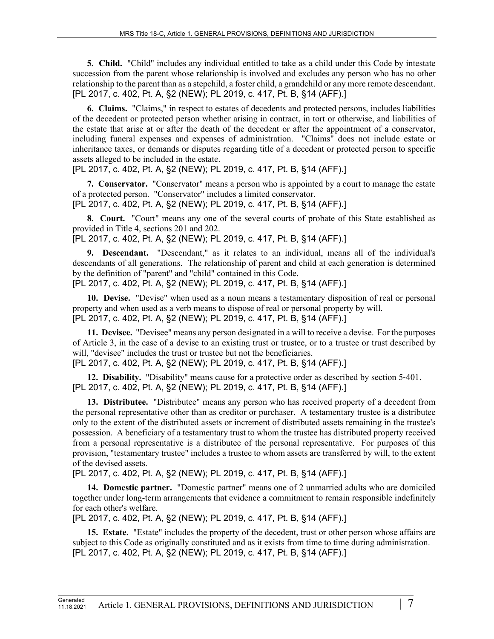**5. Child.** "Child" includes any individual entitled to take as a child under this Code by intestate succession from the parent whose relationship is involved and excludes any person who has no other relationship to the parent than as a stepchild, a foster child, a grandchild or any more remote descendant. [PL 2017, c. 402, Pt. A, §2 (NEW); PL 2019, c. 417, Pt. B, §14 (AFF).]

**6. Claims.** "Claims," in respect to estates of decedents and protected persons, includes liabilities of the decedent or protected person whether arising in contract, in tort or otherwise, and liabilities of the estate that arise at or after the death of the decedent or after the appointment of a conservator, including funeral expenses and expenses of administration. "Claims" does not include estate or inheritance taxes, or demands or disputes regarding title of a decedent or protected person to specific assets alleged to be included in the estate.

[PL 2017, c. 402, Pt. A, §2 (NEW); PL 2019, c. 417, Pt. B, §14 (AFF).]

**7. Conservator.** "Conservator" means a person who is appointed by a court to manage the estate of a protected person. "Conservator" includes a limited conservator. [PL 2017, c. 402, Pt. A, §2 (NEW); PL 2019, c. 417, Pt. B, §14 (AFF).]

**8. Court.** "Court" means any one of the several courts of probate of this State established as provided in Title 4, sections 201 and 202.

[PL 2017, c. 402, Pt. A, §2 (NEW); PL 2019, c. 417, Pt. B, §14 (AFF).]

**9. Descendant.** "Descendant," as it relates to an individual, means all of the individual's descendants of all generations. The relationship of parent and child at each generation is determined by the definition of "parent" and "child" contained in this Code. [PL 2017, c. 402, Pt. A, §2 (NEW); PL 2019, c. 417, Pt. B, §14 (AFF).]

**10. Devise.** "Devise" when used as a noun means a testamentary disposition of real or personal property and when used as a verb means to dispose of real or personal property by will. [PL 2017, c. 402, Pt. A, §2 (NEW); PL 2019, c. 417, Pt. B, §14 (AFF).]

**11. Devisee.** "Devisee" means any person designated in a will to receive a devise. For the purposes of Article 3, in the case of a devise to an existing trust or trustee, or to a trustee or trust described by will, "devisee" includes the trust or trustee but not the beneficiaries. [PL 2017, c. 402, Pt. A, §2 (NEW); PL 2019, c. 417, Pt. B, §14 (AFF).]

**12. Disability.** "Disability" means cause for a protective order as described by section 5‑401. [PL 2017, c. 402, Pt. A, §2 (NEW); PL 2019, c. 417, Pt. B, §14 (AFF).]

**13. Distributee.** "Distributee" means any person who has received property of a decedent from the personal representative other than as creditor or purchaser. A testamentary trustee is a distributee only to the extent of the distributed assets or increment of distributed assets remaining in the trustee's possession. A beneficiary of a testamentary trust to whom the trustee has distributed property received from a personal representative is a distributee of the personal representative. For purposes of this provision, "testamentary trustee" includes a trustee to whom assets are transferred by will, to the extent of the devised assets.

[PL 2017, c. 402, Pt. A, §2 (NEW); PL 2019, c. 417, Pt. B, §14 (AFF).]

**14. Domestic partner.** "Domestic partner" means one of 2 unmarried adults who are domiciled together under long-term arrangements that evidence a commitment to remain responsible indefinitely for each other's welfare.

[PL 2017, c. 402, Pt. A, §2 (NEW); PL 2019, c. 417, Pt. B, §14 (AFF).]

**15. Estate.** "Estate" includes the property of the decedent, trust or other person whose affairs are subject to this Code as originally constituted and as it exists from time to time during administration. [PL 2017, c. 402, Pt. A, §2 (NEW); PL 2019, c. 417, Pt. B, §14 (AFF).]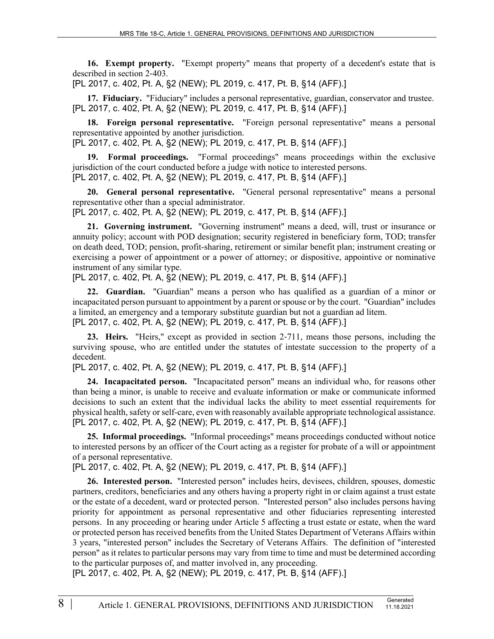**16. Exempt property.** "Exempt property" means that property of a decedent's estate that is described in section 2‑403.

[PL 2017, c. 402, Pt. A, §2 (NEW); PL 2019, c. 417, Pt. B, §14 (AFF).]

**17. Fiduciary.** "Fiduciary" includes a personal representative, guardian, conservator and trustee. [PL 2017, c. 402, Pt. A, §2 (NEW); PL 2019, c. 417, Pt. B, §14 (AFF).]

**18. Foreign personal representative.** "Foreign personal representative" means a personal representative appointed by another jurisdiction.

[PL 2017, c. 402, Pt. A, §2 (NEW); PL 2019, c. 417, Pt. B, §14 (AFF).]

**19. Formal proceedings.** "Formal proceedings" means proceedings within the exclusive jurisdiction of the court conducted before a judge with notice to interested persons. [PL 2017, c. 402, Pt. A, §2 (NEW); PL 2019, c. 417, Pt. B, §14 (AFF).]

**20. General personal representative.** "General personal representative" means a personal representative other than a special administrator.

[PL 2017, c. 402, Pt. A, §2 (NEW); PL 2019, c. 417, Pt. B, §14 (AFF).]

**21. Governing instrument.** "Governing instrument" means a deed, will, trust or insurance or annuity policy; account with POD designation; security registered in beneficiary form, TOD; transfer on death deed, TOD; pension, profit-sharing, retirement or similar benefit plan; instrument creating or exercising a power of appointment or a power of attorney; or dispositive, appointive or nominative instrument of any similar type.

[PL 2017, c. 402, Pt. A, §2 (NEW); PL 2019, c. 417, Pt. B, §14 (AFF).]

**22. Guardian.** "Guardian" means a person who has qualified as a guardian of a minor or incapacitated person pursuant to appointment by a parent or spouse or by the court. "Guardian" includes a limited, an emergency and a temporary substitute guardian but not a guardian ad litem. [PL 2017, c. 402, Pt. A, §2 (NEW); PL 2019, c. 417, Pt. B, §14 (AFF).]

**23. Heirs.** "Heirs," except as provided in section 2‑711, means those persons, including the surviving spouse, who are entitled under the statutes of intestate succession to the property of a decedent.

[PL 2017, c. 402, Pt. A, §2 (NEW); PL 2019, c. 417, Pt. B, §14 (AFF).]

**24. Incapacitated person.** "Incapacitated person" means an individual who, for reasons other than being a minor, is unable to receive and evaluate information or make or communicate informed decisions to such an extent that the individual lacks the ability to meet essential requirements for physical health, safety or self-care, even with reasonably available appropriate technological assistance. [PL 2017, c. 402, Pt. A, §2 (NEW); PL 2019, c. 417, Pt. B, §14 (AFF).]

**25. Informal proceedings.** "Informal proceedings" means proceedings conducted without notice to interested persons by an officer of the Court acting as a register for probate of a will or appointment of a personal representative.

[PL 2017, c. 402, Pt. A, §2 (NEW); PL 2019, c. 417, Pt. B, §14 (AFF).]

**26. Interested person.** "Interested person" includes heirs, devisees, children, spouses, domestic partners, creditors, beneficiaries and any others having a property right in or claim against a trust estate or the estate of a decedent, ward or protected person. "Interested person" also includes persons having priority for appointment as personal representative and other fiduciaries representing interested persons. In any proceeding or hearing under Article 5 affecting a trust estate or estate, when the ward or protected person has received benefits from the United States Department of Veterans Affairs within 3 years, "interested person" includes the Secretary of Veterans Affairs. The definition of "interested person" as it relates to particular persons may vary from time to time and must be determined according to the particular purposes of, and matter involved in, any proceeding.

[PL 2017, c. 402, Pt. A, §2 (NEW); PL 2019, c. 417, Pt. B, §14 (AFF).]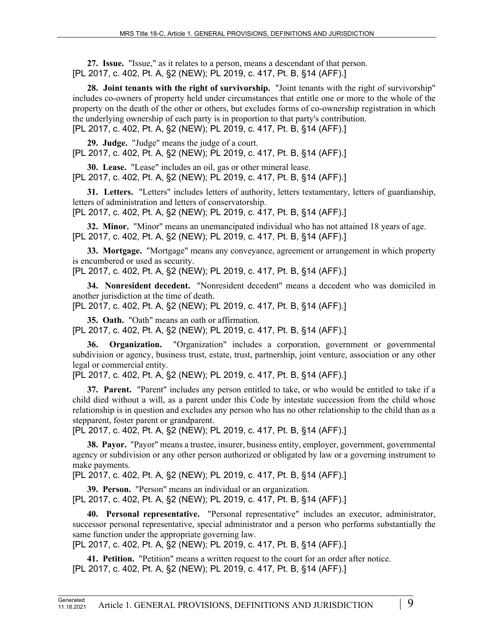**27. Issue.** "Issue," as it relates to a person, means a descendant of that person. [PL 2017, c. 402, Pt. A, §2 (NEW); PL 2019, c. 417, Pt. B, §14 (AFF).]

**28. Joint tenants with the right of survivorship.** "Joint tenants with the right of survivorship" includes co-owners of property held under circumstances that entitle one or more to the whole of the property on the death of the other or others, but excludes forms of co-ownership registration in which the underlying ownership of each party is in proportion to that party's contribution. [PL 2017, c. 402, Pt. A, §2 (NEW); PL 2019, c. 417, Pt. B, §14 (AFF).]

**29. Judge.** "Judge" means the judge of a court. [PL 2017, c. 402, Pt. A, §2 (NEW); PL 2019, c. 417, Pt. B, §14 (AFF).]

**30. Lease.** "Lease" includes an oil, gas or other mineral lease. [PL 2017, c. 402, Pt. A, §2 (NEW); PL 2019, c. 417, Pt. B, §14 (AFF).]

**31. Letters.** "Letters" includes letters of authority, letters testamentary, letters of guardianship, letters of administration and letters of conservatorship.

[PL 2017, c. 402, Pt. A, §2 (NEW); PL 2019, c. 417, Pt. B, §14 (AFF).]

**32. Minor.** "Minor" means an unemancipated individual who has not attained 18 years of age. [PL 2017, c. 402, Pt. A, §2 (NEW); PL 2019, c. 417, Pt. B, §14 (AFF).]

**33. Mortgage.** "Mortgage" means any conveyance, agreement or arrangement in which property is encumbered or used as security.

[PL 2017, c. 402, Pt. A, §2 (NEW); PL 2019, c. 417, Pt. B, §14 (AFF).]

**34. Nonresident decedent.** "Nonresident decedent" means a decedent who was domiciled in another jurisdiction at the time of death.

[PL 2017, c. 402, Pt. A, §2 (NEW); PL 2019, c. 417, Pt. B, §14 (AFF).]

**35. Oath.** "Oath" means an oath or affirmation.

[PL 2017, c. 402, Pt. A, §2 (NEW); PL 2019, c. 417, Pt. B, §14 (AFF).]

**36. Organization.** "Organization" includes a corporation, government or governmental subdivision or agency, business trust, estate, trust, partnership, joint venture, association or any other legal or commercial entity.

[PL 2017, c. 402, Pt. A, §2 (NEW); PL 2019, c. 417, Pt. B, §14 (AFF).]

**37. Parent.** "Parent" includes any person entitled to take, or who would be entitled to take if a child died without a will, as a parent under this Code by intestate succession from the child whose relationship is in question and excludes any person who has no other relationship to the child than as a stepparent, foster parent or grandparent.

[PL 2017, c. 402, Pt. A, §2 (NEW); PL 2019, c. 417, Pt. B, §14 (AFF).]

**38. Payor.** "Payor" means a trustee, insurer, business entity, employer, government, governmental agency or subdivision or any other person authorized or obligated by law or a governing instrument to make payments.

[PL 2017, c. 402, Pt. A, §2 (NEW); PL 2019, c. 417, Pt. B, §14 (AFF).]

**39. Person.** "Person" means an individual or an organization. [PL 2017, c. 402, Pt. A, §2 (NEW); PL 2019, c. 417, Pt. B, §14 (AFF).]

**40. Personal representative.** "Personal representative" includes an executor, administrator, successor personal representative, special administrator and a person who performs substantially the same function under the appropriate governing law.

[PL 2017, c. 402, Pt. A, §2 (NEW); PL 2019, c. 417, Pt. B, §14 (AFF).]

**41. Petition.** "Petition" means a written request to the court for an order after notice. [PL 2017, c. 402, Pt. A, §2 (NEW); PL 2019, c. 417, Pt. B, §14 (AFF).]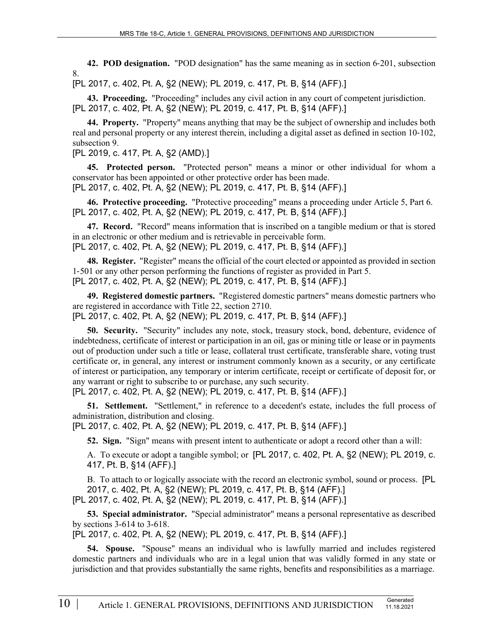**42. POD designation.** "POD designation" has the same meaning as in section 6‑201, subsection 8.

[PL 2017, c. 402, Pt. A, §2 (NEW); PL 2019, c. 417, Pt. B, §14 (AFF).]

**43. Proceeding.** "Proceeding" includes any civil action in any court of competent jurisdiction. [PL 2017, c. 402, Pt. A, §2 (NEW); PL 2019, c. 417, Pt. B, §14 (AFF).]

**44. Property.** "Property" means anything that may be the subject of ownership and includes both real and personal property or any interest therein, including a digital asset as defined in section 10-102, subsection 9.

[PL 2019, c. 417, Pt. A, §2 (AMD).]

**45. Protected person.** "Protected person" means a minor or other individual for whom a conservator has been appointed or other protective order has been made. [PL 2017, c. 402, Pt. A, §2 (NEW); PL 2019, c. 417, Pt. B, §14 (AFF).]

**46. Protective proceeding.** "Protective proceeding" means a proceeding under Article 5, Part 6. [PL 2017, c. 402, Pt. A, §2 (NEW); PL 2019, c. 417, Pt. B, §14 (AFF).]

**47. Record.** "Record" means information that is inscribed on a tangible medium or that is stored in an electronic or other medium and is retrievable in perceivable form. [PL 2017, c. 402, Pt. A, §2 (NEW); PL 2019, c. 417, Pt. B, §14 (AFF).]

**48. Register.** "Register" means the official of the court elected or appointed as provided in section 1‑501 or any other person performing the functions of register as provided in Part 5. [PL 2017, c. 402, Pt. A, §2 (NEW); PL 2019, c. 417, Pt. B, §14 (AFF).]

**49. Registered domestic partners.** "Registered domestic partners" means domestic partners who are registered in accordance with Title 22, section 2710.

[PL 2017, c. 402, Pt. A, §2 (NEW); PL 2019, c. 417, Pt. B, §14 (AFF).]

**50. Security.** "Security" includes any note, stock, treasury stock, bond, debenture, evidence of indebtedness, certificate of interest or participation in an oil, gas or mining title or lease or in payments out of production under such a title or lease, collateral trust certificate, transferable share, voting trust certificate or, in general, any interest or instrument commonly known as a security, or any certificate of interest or participation, any temporary or interim certificate, receipt or certificate of deposit for, or any warrant or right to subscribe to or purchase, any such security.

[PL 2017, c. 402, Pt. A, §2 (NEW); PL 2019, c. 417, Pt. B, §14 (AFF).]

**51. Settlement.** "Settlement," in reference to a decedent's estate, includes the full process of administration, distribution and closing.

[PL 2017, c. 402, Pt. A, §2 (NEW); PL 2019, c. 417, Pt. B, §14 (AFF).]

**52. Sign.** "Sign" means with present intent to authenticate or adopt a record other than a will:

A. To execute or adopt a tangible symbol; or [PL 2017, c. 402, Pt. A, §2 (NEW); PL 2019, c. 417, Pt. B, §14 (AFF).]

B. To attach to or logically associate with the record an electronic symbol, sound or process. [PL 2017, c. 402, Pt. A, §2 (NEW); PL 2019, c. 417, Pt. B, §14 (AFF).] [PL 2017, c. 402, Pt. A, §2 (NEW); PL 2019, c. 417, Pt. B, §14 (AFF).]

**53. Special administrator.** "Special administrator" means a personal representative as described by sections 3-614 to 3-618.

[PL 2017, c. 402, Pt. A, §2 (NEW); PL 2019, c. 417, Pt. B, §14 (AFF).]

**54. Spouse.** "Spouse" means an individual who is lawfully married and includes registered domestic partners and individuals who are in a legal union that was validly formed in any state or jurisdiction and that provides substantially the same rights, benefits and responsibilities as a marriage.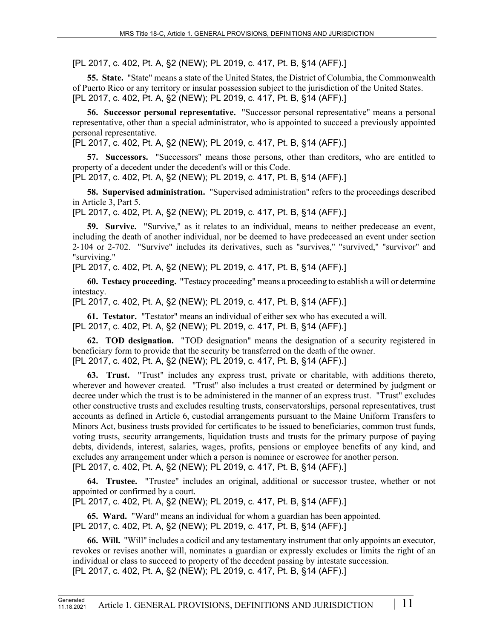[PL 2017, c. 402, Pt. A, §2 (NEW); PL 2019, c. 417, Pt. B, §14 (AFF).]

**55. State.** "State" means a state of the United States, the District of Columbia, the Commonwealth of Puerto Rico or any territory or insular possession subject to the jurisdiction of the United States. [PL 2017, c. 402, Pt. A, §2 (NEW); PL 2019, c. 417, Pt. B, §14 (AFF).]

**56. Successor personal representative.** "Successor personal representative" means a personal representative, other than a special administrator, who is appointed to succeed a previously appointed personal representative.

[PL 2017, c. 402, Pt. A, §2 (NEW); PL 2019, c. 417, Pt. B, §14 (AFF).]

**57. Successors.** "Successors" means those persons, other than creditors, who are entitled to property of a decedent under the decedent's will or this Code. [PL 2017, c. 402, Pt. A, §2 (NEW); PL 2019, c. 417, Pt. B, §14 (AFF).]

**58. Supervised administration.** "Supervised administration" refers to the proceedings described in Article 3, Part 5.

[PL 2017, c. 402, Pt. A, §2 (NEW); PL 2019, c. 417, Pt. B, §14 (AFF).]

**59. Survive.** "Survive," as it relates to an individual, means to neither predecease an event, including the death of another individual, nor be deemed to have predeceased an event under section 2‑104 or 2-702. "Survive" includes its derivatives, such as "survives," "survived," "survivor" and "surviving."

[PL 2017, c. 402, Pt. A, §2 (NEW); PL 2019, c. 417, Pt. B, §14 (AFF).]

**60. Testacy proceeding.** "Testacy proceeding" means a proceeding to establish a will or determine intestacy.

[PL 2017, c. 402, Pt. A, §2 (NEW); PL 2019, c. 417, Pt. B, §14 (AFF).]

**61. Testator.** "Testator" means an individual of either sex who has executed a will. [PL 2017, c. 402, Pt. A, §2 (NEW); PL 2019, c. 417, Pt. B, §14 (AFF).]

**62. TOD designation.** "TOD designation" means the designation of a security registered in beneficiary form to provide that the security be transferred on the death of the owner. [PL 2017, c. 402, Pt. A, §2 (NEW); PL 2019, c. 417, Pt. B, §14 (AFF).]

**63. Trust.** "Trust" includes any express trust, private or charitable, with additions thereto, wherever and however created. "Trust" also includes a trust created or determined by judgment or decree under which the trust is to be administered in the manner of an express trust. "Trust" excludes other constructive trusts and excludes resulting trusts, conservatorships, personal representatives, trust accounts as defined in Article 6, custodial arrangements pursuant to the Maine Uniform Transfers to Minors Act, business trusts provided for certificates to be issued to beneficiaries, common trust funds, voting trusts, security arrangements, liquidation trusts and trusts for the primary purpose of paying debts, dividends, interest, salaries, wages, profits, pensions or employee benefits of any kind, and excludes any arrangement under which a person is nominee or escrowee for another person. [PL 2017, c. 402, Pt. A, §2 (NEW); PL 2019, c. 417, Pt. B, §14 (AFF).]

**64. Trustee.** "Trustee" includes an original, additional or successor trustee, whether or not appointed or confirmed by a court.

[PL 2017, c. 402, Pt. A, §2 (NEW); PL 2019, c. 417, Pt. B, §14 (AFF).]

**65. Ward.** "Ward" means an individual for whom a guardian has been appointed. [PL 2017, c. 402, Pt. A, §2 (NEW); PL 2019, c. 417, Pt. B, §14 (AFF).]

**66. Will.** "Will" includes a codicil and any testamentary instrument that only appoints an executor, revokes or revises another will, nominates a guardian or expressly excludes or limits the right of an individual or class to succeed to property of the decedent passing by intestate succession. [PL 2017, c. 402, Pt. A, §2 (NEW); PL 2019, c. 417, Pt. B, §14 (AFF).]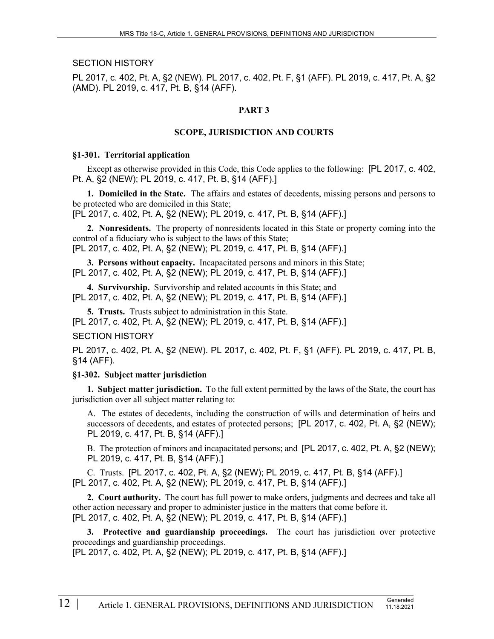SECTION HISTORY

PL 2017, c. 402, Pt. A, §2 (NEW). PL 2017, c. 402, Pt. F, §1 (AFF). PL 2019, c. 417, Pt. A, §2 (AMD). PL 2019, c. 417, Pt. B, §14 (AFF).

### **PART 3**

### **SCOPE, JURISDICTION AND COURTS**

#### **§1-301. Territorial application**

Except as otherwise provided in this Code, this Code applies to the following: [PL 2017, c. 402, Pt. A, §2 (NEW); PL 2019, c. 417, Pt. B, §14 (AFF).]

**1. Domiciled in the State.** The affairs and estates of decedents, missing persons and persons to be protected who are domiciled in this State; [PL 2017, c. 402, Pt. A, §2 (NEW); PL 2019, c. 417, Pt. B, §14 (AFF).]

**2. Nonresidents.** The property of nonresidents located in this State or property coming into the control of a fiduciary who is subject to the laws of this State; [PL 2017, c. 402, Pt. A, §2 (NEW); PL 2019, c. 417, Pt. B, §14 (AFF).]

**3. Persons without capacity.** Incapacitated persons and minors in this State;

[PL 2017, c. 402, Pt. A, §2 (NEW); PL 2019, c. 417, Pt. B, §14 (AFF).]

**4. Survivorship.** Survivorship and related accounts in this State; and [PL 2017, c. 402, Pt. A, §2 (NEW); PL 2019, c. 417, Pt. B, §14 (AFF).]

**5. Trusts.** Trusts subject to administration in this State. [PL 2017, c. 402, Pt. A, §2 (NEW); PL 2019, c. 417, Pt. B, §14 (AFF).] SECTION HISTORY

PL 2017, c. 402, Pt. A, §2 (NEW). PL 2017, c. 402, Pt. F, §1 (AFF). PL 2019, c. 417, Pt. B, §14 (AFF).

### **§1-302. Subject matter jurisdiction**

**1. Subject matter jurisdiction.** To the full extent permitted by the laws of the State, the court has jurisdiction over all subject matter relating to:

A. The estates of decedents, including the construction of wills and determination of heirs and successors of decedents, and estates of protected persons; [PL 2017, c. 402, Pt. A, §2 (NEW); PL 2019, c. 417, Pt. B, §14 (AFF).]

B. The protection of minors and incapacitated persons; and [PL 2017, c. 402, Pt. A, §2 (NEW); PL 2019, c. 417, Pt. B, §14 (AFF).]

C. Trusts. [PL 2017, c. 402, Pt. A, §2 (NEW); PL 2019, c. 417, Pt. B, §14 (AFF).] [PL 2017, c. 402, Pt. A, §2 (NEW); PL 2019, c. 417, Pt. B, §14 (AFF).]

**2. Court authority.** The court has full power to make orders, judgments and decrees and take all other action necessary and proper to administer justice in the matters that come before it. [PL 2017, c. 402, Pt. A, §2 (NEW); PL 2019, c. 417, Pt. B, §14 (AFF).]

**3. Protective and guardianship proceedings.** The court has jurisdiction over protective proceedings and guardianship proceedings.

[PL 2017, c. 402, Pt. A, §2 (NEW); PL 2019, c. 417, Pt. B, §14 (AFF).]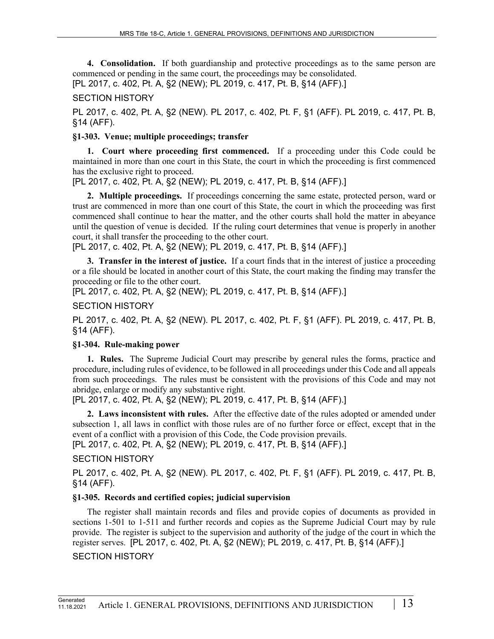**4. Consolidation.** If both guardianship and protective proceedings as to the same person are commenced or pending in the same court, the proceedings may be consolidated.

[PL 2017, c. 402, Pt. A, §2 (NEW); PL 2019, c. 417, Pt. B, §14 (AFF).]

#### SECTION HISTORY

PL 2017, c. 402, Pt. A, §2 (NEW). PL 2017, c. 402, Pt. F, §1 (AFF). PL 2019, c. 417, Pt. B, §14 (AFF).

#### **§1-303. Venue; multiple proceedings; transfer**

**1. Court where proceeding first commenced.** If a proceeding under this Code could be maintained in more than one court in this State, the court in which the proceeding is first commenced has the exclusive right to proceed.

[PL 2017, c. 402, Pt. A, §2 (NEW); PL 2019, c. 417, Pt. B, §14 (AFF).]

**2. Multiple proceedings.** If proceedings concerning the same estate, protected person, ward or trust are commenced in more than one court of this State, the court in which the proceeding was first commenced shall continue to hear the matter, and the other courts shall hold the matter in abeyance until the question of venue is decided. If the ruling court determines that venue is properly in another court, it shall transfer the proceeding to the other court.

[PL 2017, c. 402, Pt. A, §2 (NEW); PL 2019, c. 417, Pt. B, §14 (AFF).]

**3. Transfer in the interest of justice.** If a court finds that in the interest of justice a proceeding or a file should be located in another court of this State, the court making the finding may transfer the proceeding or file to the other court.

[PL 2017, c. 402, Pt. A, §2 (NEW); PL 2019, c. 417, Pt. B, §14 (AFF).]

#### SECTION HISTORY

PL 2017, c. 402, Pt. A, §2 (NEW). PL 2017, c. 402, Pt. F, §1 (AFF). PL 2019, c. 417, Pt. B, §14 (AFF).

#### **§1-304. Rule-making power**

**1. Rules.** The Supreme Judicial Court may prescribe by general rules the forms, practice and procedure, including rules of evidence, to be followed in all proceedings under this Code and all appeals from such proceedings. The rules must be consistent with the provisions of this Code and may not abridge, enlarge or modify any substantive right.

[PL 2017, c. 402, Pt. A, §2 (NEW); PL 2019, c. 417, Pt. B, §14 (AFF).]

**2. Laws inconsistent with rules.** After the effective date of the rules adopted or amended under subsection 1, all laws in conflict with those rules are of no further force or effect, except that in the event of a conflict with a provision of this Code, the Code provision prevails.

[PL 2017, c. 402, Pt. A, §2 (NEW); PL 2019, c. 417, Pt. B, §14 (AFF).]

### SECTION HISTORY

PL 2017, c. 402, Pt. A, §2 (NEW). PL 2017, c. 402, Pt. F, §1 (AFF). PL 2019, c. 417, Pt. B, §14 (AFF).

### **§1-305. Records and certified copies; judicial supervision**

The register shall maintain records and files and provide copies of documents as provided in sections 1-501 to 1-511 and further records and copies as the Supreme Judicial Court may by rule provide. The register is subject to the supervision and authority of the judge of the court in which the register serves. [PL 2017, c. 402, Pt. A, §2 (NEW); PL 2019, c. 417, Pt. B, §14 (AFF).]

### SECTION HISTORY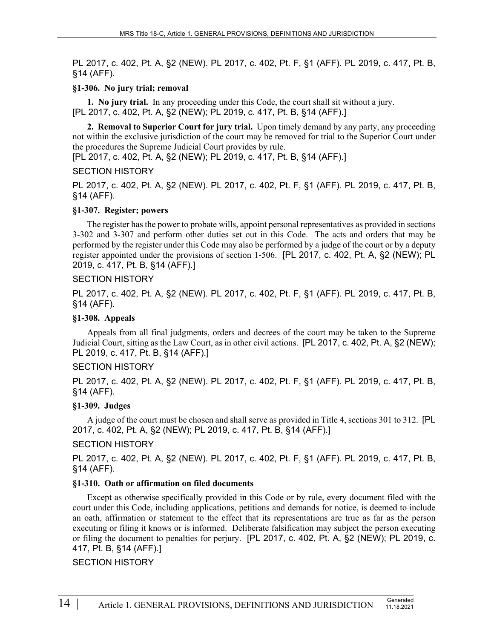PL 2017, c. 402, Pt. A, §2 (NEW). PL 2017, c. 402, Pt. F, §1 (AFF). PL 2019, c. 417, Pt. B, §14 (AFF).

### **§1-306. No jury trial; removal**

**1. No jury trial.** In any proceeding under this Code, the court shall sit without a jury. [PL 2017, c. 402, Pt. A, §2 (NEW); PL 2019, c. 417, Pt. B, §14 (AFF).]

**2. Removal to Superior Court for jury trial.** Upon timely demand by any party, any proceeding not within the exclusive jurisdiction of the court may be removed for trial to the Superior Court under the procedures the Supreme Judicial Court provides by rule.

[PL 2017, c. 402, Pt. A, §2 (NEW); PL 2019, c. 417, Pt. B, §14 (AFF).]

#### SECTION HISTORY

PL 2017, c. 402, Pt. A, §2 (NEW). PL 2017, c. 402, Pt. F, §1 (AFF). PL 2019, c. 417, Pt. B, §14 (AFF).

### **§1-307. Register; powers**

The register has the power to probate wills, appoint personal representatives as provided in sections 3-302 and 3-307 and perform other duties set out in this Code. The acts and orders that may be performed by the register under this Code may also be performed by a judge of the court or by a deputy register appointed under the provisions of section 1‑506. [PL 2017, c. 402, Pt. A, §2 (NEW); PL 2019, c. 417, Pt. B, §14 (AFF).]

#### SECTION HISTORY

PL 2017, c. 402, Pt. A, §2 (NEW). PL 2017, c. 402, Pt. F, §1 (AFF). PL 2019, c. 417, Pt. B, §14 (AFF).

#### **§1-308. Appeals**

Appeals from all final judgments, orders and decrees of the court may be taken to the Supreme Judicial Court, sitting as the Law Court, as in other civil actions. [PL 2017, c. 402, Pt. A, §2 (NEW); PL 2019, c. 417, Pt. B, §14 (AFF).]

### SECTION HISTORY

PL 2017, c. 402, Pt. A, §2 (NEW). PL 2017, c. 402, Pt. F, §1 (AFF). PL 2019, c. 417, Pt. B, §14 (AFF).

### **§1-309. Judges**

A judge of the court must be chosen and shall serve as provided in Title 4, sections 301 to 312. [PL 2017, c. 402, Pt. A, §2 (NEW); PL 2019, c. 417, Pt. B, §14 (AFF).]

### SECTION HISTORY

PL 2017, c. 402, Pt. A, §2 (NEW). PL 2017, c. 402, Pt. F, §1 (AFF). PL 2019, c. 417, Pt. B, §14 (AFF).

### **§1-310. Oath or affirmation on filed documents**

Except as otherwise specifically provided in this Code or by rule, every document filed with the court under this Code, including applications, petitions and demands for notice, is deemed to include an oath, affirmation or statement to the effect that its representations are true as far as the person executing or filing it knows or is informed. Deliberate falsification may subject the person executing or filing the document to penalties for perjury. [PL 2017, c. 402, Pt. A, §2 (NEW); PL 2019, c. 417, Pt. B, §14 (AFF).]

### SECTION HISTORY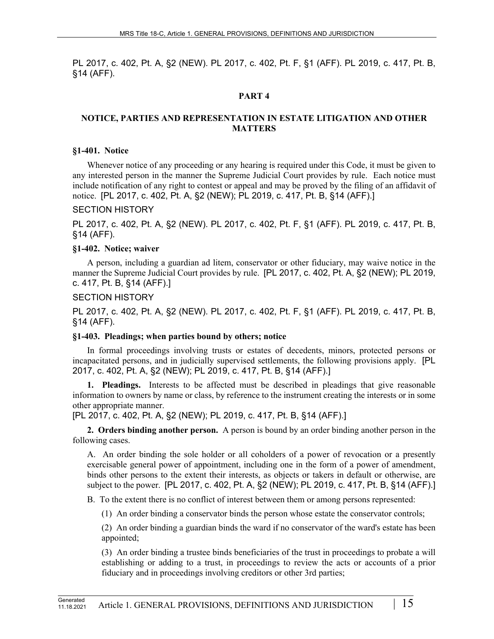PL 2017, c. 402, Pt. A, §2 (NEW). PL 2017, c. 402, Pt. F, §1 (AFF). PL 2019, c. 417, Pt. B, §14 (AFF).

## **PART 4**

### **NOTICE, PARTIES AND REPRESENTATION IN ESTATE LITIGATION AND OTHER MATTERS**

#### **§1-401. Notice**

Whenever notice of any proceeding or any hearing is required under this Code, it must be given to any interested person in the manner the Supreme Judicial Court provides by rule. Each notice must include notification of any right to contest or appeal and may be proved by the filing of an affidavit of notice. [PL 2017, c. 402, Pt. A, §2 (NEW); PL 2019, c. 417, Pt. B, §14 (AFF).]

#### SECTION HISTORY

PL 2017, c. 402, Pt. A, §2 (NEW). PL 2017, c. 402, Pt. F, §1 (AFF). PL 2019, c. 417, Pt. B, §14 (AFF).

#### **§1-402. Notice; waiver**

A person, including a guardian ad litem, conservator or other fiduciary, may waive notice in the manner the Supreme Judicial Court provides by rule. [PL 2017, c. 402, Pt. A, §2 (NEW); PL 2019, c. 417, Pt. B, §14 (AFF).]

#### SECTION HISTORY

PL 2017, c. 402, Pt. A, §2 (NEW). PL 2017, c. 402, Pt. F, §1 (AFF). PL 2019, c. 417, Pt. B, §14 (AFF).

#### **§1-403. Pleadings; when parties bound by others; notice**

In formal proceedings involving trusts or estates of decedents, minors, protected persons or incapacitated persons, and in judicially supervised settlements, the following provisions apply. [PL 2017, c. 402, Pt. A, §2 (NEW); PL 2019, c. 417, Pt. B, §14 (AFF).]

**1. Pleadings.** Interests to be affected must be described in pleadings that give reasonable information to owners by name or class, by reference to the instrument creating the interests or in some other appropriate manner.

[PL 2017, c. 402, Pt. A, §2 (NEW); PL 2019, c. 417, Pt. B, §14 (AFF).]

**2. Orders binding another person.** A person is bound by an order binding another person in the following cases.

A. An order binding the sole holder or all coholders of a power of revocation or a presently exercisable general power of appointment, including one in the form of a power of amendment, binds other persons to the extent their interests, as objects or takers in default or otherwise, are subject to the power. [PL 2017, c. 402, Pt. A, §2 (NEW); PL 2019, c. 417, Pt. B, §14 (AFF).]

B. To the extent there is no conflict of interest between them or among persons represented:

(1) An order binding a conservator binds the person whose estate the conservator controls;

(2) An order binding a guardian binds the ward if no conservator of the ward's estate has been appointed;

(3) An order binding a trustee binds beneficiaries of the trust in proceedings to probate a will establishing or adding to a trust, in proceedings to review the acts or accounts of a prior fiduciary and in proceedings involving creditors or other 3rd parties;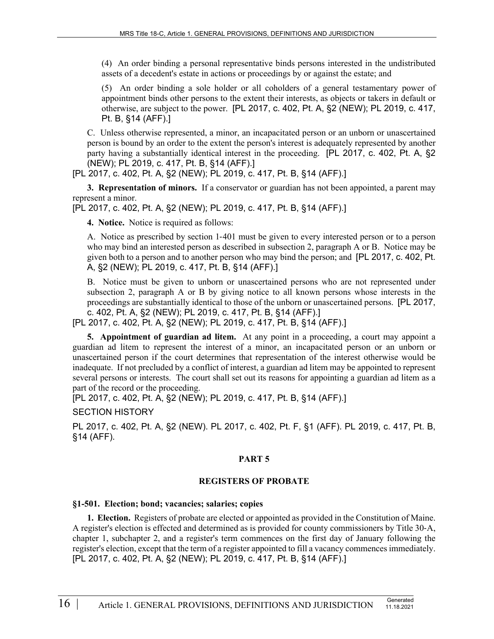(4) An order binding a personal representative binds persons interested in the undistributed assets of a decedent's estate in actions or proceedings by or against the estate; and

(5) An order binding a sole holder or all coholders of a general testamentary power of appointment binds other persons to the extent their interests, as objects or takers in default or otherwise, are subject to the power. [PL 2017, c. 402, Pt. A, §2 (NEW); PL 2019, c. 417, Pt. B, §14 (AFF).]

C. Unless otherwise represented, a minor, an incapacitated person or an unborn or unascertained person is bound by an order to the extent the person's interest is adequately represented by another party having a substantially identical interest in the proceeding. [PL 2017, c. 402, Pt. A, §2 (NEW); PL 2019, c. 417, Pt. B, §14 (AFF).]

[PL 2017, c. 402, Pt. A, §2 (NEW); PL 2019, c. 417, Pt. B, §14 (AFF).]

**3. Representation of minors.** If a conservator or guardian has not been appointed, a parent may represent a minor.

[PL 2017, c. 402, Pt. A, §2 (NEW); PL 2019, c. 417, Pt. B, §14 (AFF).]

**4. Notice.** Notice is required as follows:

A. Notice as prescribed by section 1‑401 must be given to every interested person or to a person who may bind an interested person as described in subsection 2, paragraph A or B. Notice may be given both to a person and to another person who may bind the person; and [PL 2017, c. 402, Pt. A, §2 (NEW); PL 2019, c. 417, Pt. B, §14 (AFF).]

B. Notice must be given to unborn or unascertained persons who are not represented under subsection 2, paragraph A or B by giving notice to all known persons whose interests in the proceedings are substantially identical to those of the unborn or unascertained persons. [PL 2017, c. 402, Pt. A, §2 (NEW); PL 2019, c. 417, Pt. B, §14 (AFF).]

[PL 2017, c. 402, Pt. A, §2 (NEW); PL 2019, c. 417, Pt. B, §14 (AFF).]

**5. Appointment of guardian ad litem.** At any point in a proceeding, a court may appoint a guardian ad litem to represent the interest of a minor, an incapacitated person or an unborn or unascertained person if the court determines that representation of the interest otherwise would be inadequate. If not precluded by a conflict of interest, a guardian ad litem may be appointed to represent several persons or interests. The court shall set out its reasons for appointing a guardian ad litem as a part of the record or the proceeding.

[PL 2017, c. 402, Pt. A, §2 (NEW); PL 2019, c. 417, Pt. B, §14 (AFF).]

SECTION HISTORY

PL 2017, c. 402, Pt. A, §2 (NEW). PL 2017, c. 402, Pt. F, §1 (AFF). PL 2019, c. 417, Pt. B, §14 (AFF).

### **PART 5**

### **REGISTERS OF PROBATE**

#### **§1-501. Election; bond; vacancies; salaries; copies**

**1. Election.** Registers of probate are elected or appointed as provided in the Constitution of Maine. A register's election is effected and determined as is provided for county commissioners by Title 30‑A, chapter 1, subchapter 2, and a register's term commences on the first day of January following the register's election, except that the term of a register appointed to fill a vacancy commences immediately. [PL 2017, c. 402, Pt. A, §2 (NEW); PL 2019, c. 417, Pt. B, §14 (AFF).]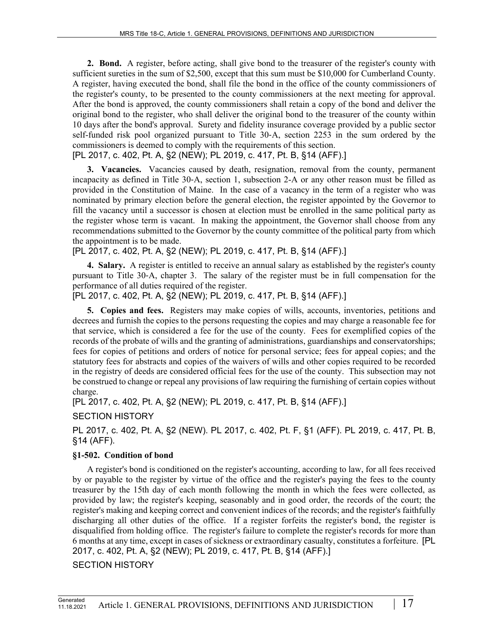**2. Bond.** A register, before acting, shall give bond to the treasurer of the register's county with sufficient sureties in the sum of \$2,500, except that this sum must be \$10,000 for Cumberland County. A register, having executed the bond, shall file the bond in the office of the county commissioners of the register's county, to be presented to the county commissioners at the next meeting for approval. After the bond is approved, the county commissioners shall retain a copy of the bond and deliver the original bond to the register, who shall deliver the original bond to the treasurer of the county within 10 days after the bond's approval. Surety and fidelity insurance coverage provided by a public sector self-funded risk pool organized pursuant to Title 30‑A, section 2253 in the sum ordered by the commissioners is deemed to comply with the requirements of this section.

[PL 2017, c. 402, Pt. A, §2 (NEW); PL 2019, c. 417, Pt. B, §14 (AFF).]

**3. Vacancies.** Vacancies caused by death, resignation, removal from the county, permanent incapacity as defined in Title 30‑A, section 1, subsection 2-A or any other reason must be filled as provided in the Constitution of Maine. In the case of a vacancy in the term of a register who was nominated by primary election before the general election, the register appointed by the Governor to fill the vacancy until a successor is chosen at election must be enrolled in the same political party as the register whose term is vacant. In making the appointment, the Governor shall choose from any recommendations submitted to the Governor by the county committee of the political party from which the appointment is to be made.

[PL 2017, c. 402, Pt. A, §2 (NEW); PL 2019, c. 417, Pt. B, §14 (AFF).]

**4. Salary.** A register is entitled to receive an annual salary as established by the register's county pursuant to Title 30‑A, chapter 3. The salary of the register must be in full compensation for the performance of all duties required of the register.

[PL 2017, c. 402, Pt. A, §2 (NEW); PL 2019, c. 417, Pt. B, §14 (AFF).]

**5. Copies and fees.** Registers may make copies of wills, accounts, inventories, petitions and decrees and furnish the copies to the persons requesting the copies and may charge a reasonable fee for that service, which is considered a fee for the use of the county. Fees for exemplified copies of the records of the probate of wills and the granting of administrations, guardianships and conservatorships; fees for copies of petitions and orders of notice for personal service; fees for appeal copies; and the statutory fees for abstracts and copies of the waivers of wills and other copies required to be recorded in the registry of deeds are considered official fees for the use of the county. This subsection may not be construed to change or repeal any provisions of law requiring the furnishing of certain copies without charge.

[PL 2017, c. 402, Pt. A, §2 (NEW); PL 2019, c. 417, Pt. B, §14 (AFF).]

SECTION HISTORY

PL 2017, c. 402, Pt. A, §2 (NEW). PL 2017, c. 402, Pt. F, §1 (AFF). PL 2019, c. 417, Pt. B, §14 (AFF).

## **§1-502. Condition of bond**

A register's bond is conditioned on the register's accounting, according to law, for all fees received by or payable to the register by virtue of the office and the register's paying the fees to the county treasurer by the 15th day of each month following the month in which the fees were collected, as provided by law; the register's keeping, seasonably and in good order, the records of the court; the register's making and keeping correct and convenient indices of the records; and the register's faithfully discharging all other duties of the office. If a register forfeits the register's bond, the register is disqualified from holding office. The register's failure to complete the register's records for more than 6 months at any time, except in cases of sickness or extraordinary casualty, constitutes a forfeiture. [PL 2017, c. 402, Pt. A, §2 (NEW); PL 2019, c. 417, Pt. B, §14 (AFF).]

### SECTION HISTORY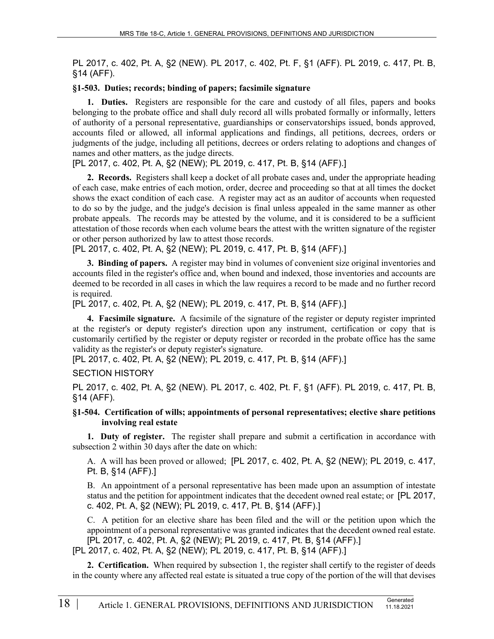PL 2017, c. 402, Pt. A, §2 (NEW). PL 2017, c. 402, Pt. F, §1 (AFF). PL 2019, c. 417, Pt. B, §14 (AFF).

#### **§1-503. Duties; records; binding of papers; facsimile signature**

**1. Duties.** Registers are responsible for the care and custody of all files, papers and books belonging to the probate office and shall duly record all wills probated formally or informally, letters of authority of a personal representative, guardianships or conservatorships issued, bonds approved, accounts filed or allowed, all informal applications and findings, all petitions, decrees, orders or judgments of the judge, including all petitions, decrees or orders relating to adoptions and changes of names and other matters, as the judge directs.

[PL 2017, c. 402, Pt. A, §2 (NEW); PL 2019, c. 417, Pt. B, §14 (AFF).]

**2. Records.** Registers shall keep a docket of all probate cases and, under the appropriate heading of each case, make entries of each motion, order, decree and proceeding so that at all times the docket shows the exact condition of each case. A register may act as an auditor of accounts when requested to do so by the judge, and the judge's decision is final unless appealed in the same manner as other probate appeals. The records may be attested by the volume, and it is considered to be a sufficient attestation of those records when each volume bears the attest with the written signature of the register or other person authorized by law to attest those records.

[PL 2017, c. 402, Pt. A, §2 (NEW); PL 2019, c. 417, Pt. B, §14 (AFF).]

**3. Binding of papers.** A register may bind in volumes of convenient size original inventories and accounts filed in the register's office and, when bound and indexed, those inventories and accounts are deemed to be recorded in all cases in which the law requires a record to be made and no further record is required.

[PL 2017, c. 402, Pt. A, §2 (NEW); PL 2019, c. 417, Pt. B, §14 (AFF).]

**4. Facsimile signature.** A facsimile of the signature of the register or deputy register imprinted at the register's or deputy register's direction upon any instrument, certification or copy that is customarily certified by the register or deputy register or recorded in the probate office has the same validity as the register's or deputy register's signature.

[PL 2017, c. 402, Pt. A, §2 (NEW); PL 2019, c. 417, Pt. B, §14 (AFF).]

### SECTION HISTORY

PL 2017, c. 402, Pt. A, §2 (NEW). PL 2017, c. 402, Pt. F, §1 (AFF). PL 2019, c. 417, Pt. B, §14 (AFF).

#### **§1-504. Certification of wills; appointments of personal representatives; elective share petitions involving real estate**

**1. Duty of register.** The register shall prepare and submit a certification in accordance with subsection 2 within 30 days after the date on which:

A. A will has been proved or allowed; [PL 2017, c. 402, Pt. A, §2 (NEW); PL 2019, c. 417, Pt. B, §14 (AFF).]

B. An appointment of a personal representative has been made upon an assumption of intestate status and the petition for appointment indicates that the decedent owned real estate; or [PL 2017, c. 402, Pt. A, §2 (NEW); PL 2019, c. 417, Pt. B, §14 (AFF).]

C. A petition for an elective share has been filed and the will or the petition upon which the appointment of a personal representative was granted indicates that the decedent owned real estate. [PL 2017, c. 402, Pt. A, §2 (NEW); PL 2019, c. 417, Pt. B, §14 (AFF).] [PL 2017, c. 402, Pt. A, §2 (NEW); PL 2019, c. 417, Pt. B, §14 (AFF).]

**2. Certification.** When required by subsection 1, the register shall certify to the register of deeds in the county where any affected real estate is situated a true copy of the portion of the will that devises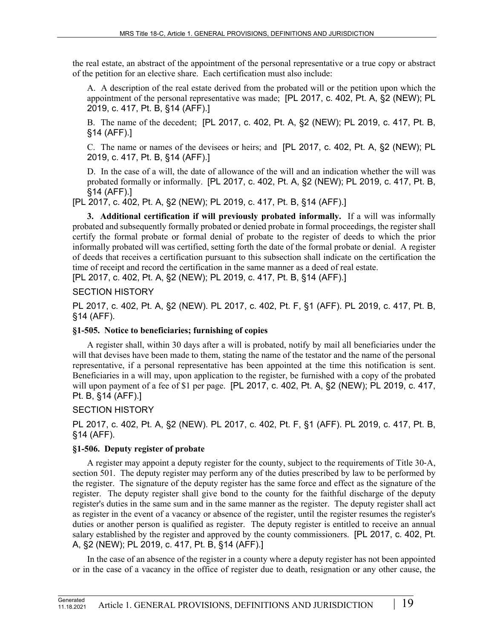the real estate, an abstract of the appointment of the personal representative or a true copy or abstract of the petition for an elective share. Each certification must also include:

A. A description of the real estate derived from the probated will or the petition upon which the appointment of the personal representative was made; [PL 2017, c. 402, Pt. A, §2 (NEW); PL 2019, c. 417, Pt. B, §14 (AFF).]

B. The name of the decedent; [PL 2017, c. 402, Pt. A, §2 (NEW); PL 2019, c. 417, Pt. B, §14 (AFF).]

C. The name or names of the devisees or heirs; and [PL 2017, c. 402, Pt. A, §2 (NEW); PL 2019, c. 417, Pt. B, §14 (AFF).]

D. In the case of a will, the date of allowance of the will and an indication whether the will was probated formally or informally. [PL 2017, c. 402, Pt. A, §2 (NEW); PL 2019, c. 417, Pt. B, §14 (AFF).]

[PL 2017, c. 402, Pt. A, §2 (NEW); PL 2019, c. 417, Pt. B, §14 (AFF).]

**3. Additional certification if will previously probated informally.** If a will was informally probated and subsequently formally probated or denied probate in formal proceedings, the register shall certify the formal probate or formal denial of probate to the register of deeds to which the prior informally probated will was certified, setting forth the date of the formal probate or denial. A register of deeds that receives a certification pursuant to this subsection shall indicate on the certification the time of receipt and record the certification in the same manner as a deed of real estate.

[PL 2017, c. 402, Pt. A, §2 (NEW); PL 2019, c. 417, Pt. B, §14 (AFF).]

SECTION HISTORY

PL 2017, c. 402, Pt. A, §2 (NEW). PL 2017, c. 402, Pt. F, §1 (AFF). PL 2019, c. 417, Pt. B, §14 (AFF).

## **§1-505. Notice to beneficiaries; furnishing of copies**

A register shall, within 30 days after a will is probated, notify by mail all beneficiaries under the will that devises have been made to them, stating the name of the testator and the name of the personal representative, if a personal representative has been appointed at the time this notification is sent. Beneficiaries in a will may, upon application to the register, be furnished with a copy of the probated will upon payment of a fee of \$1 per page. [PL 2017, c. 402, Pt. A, §2 (NEW); PL 2019, c. 417, Pt. B, §14 (AFF).]

# SECTION HISTORY

PL 2017, c. 402, Pt. A, §2 (NEW). PL 2017, c. 402, Pt. F, §1 (AFF). PL 2019, c. 417, Pt. B, §14 (AFF).

# **§1-506. Deputy register of probate**

A register may appoint a deputy register for the county, subject to the requirements of Title 30‑A, section 501. The deputy register may perform any of the duties prescribed by law to be performed by the register. The signature of the deputy register has the same force and effect as the signature of the register. The deputy register shall give bond to the county for the faithful discharge of the deputy register's duties in the same sum and in the same manner as the register. The deputy register shall act as register in the event of a vacancy or absence of the register, until the register resumes the register's duties or another person is qualified as register. The deputy register is entitled to receive an annual salary established by the register and approved by the county commissioners. [PL 2017, c. 402, Pt. A, §2 (NEW); PL 2019, c. 417, Pt. B, §14 (AFF).]

In the case of an absence of the register in a county where a deputy register has not been appointed or in the case of a vacancy in the office of register due to death, resignation or any other cause, the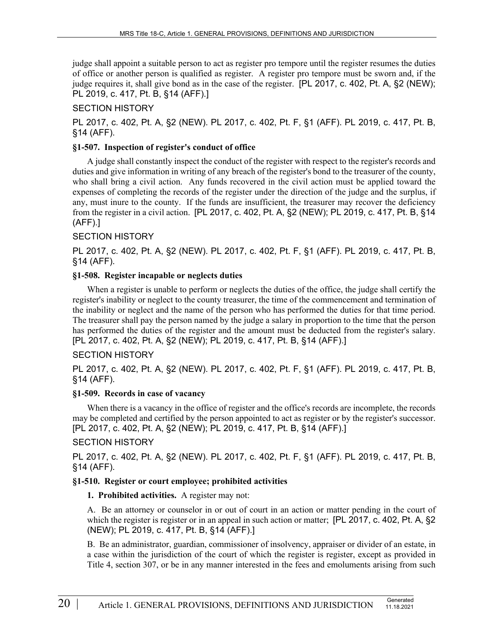judge shall appoint a suitable person to act as register pro tempore until the register resumes the duties of office or another person is qualified as register. A register pro tempore must be sworn and, if the judge requires it, shall give bond as in the case of the register. [PL 2017, c. 402, Pt. A, §2 (NEW); PL 2019, c. 417, Pt. B, §14 (AFF).]

## SECTION HISTORY

PL 2017, c. 402, Pt. A, §2 (NEW). PL 2017, c. 402, Pt. F, §1 (AFF). PL 2019, c. 417, Pt. B, §14 (AFF).

#### **§1-507. Inspection of register's conduct of office**

A judge shall constantly inspect the conduct of the register with respect to the register's records and duties and give information in writing of any breach of the register's bond to the treasurer of the county, who shall bring a civil action. Any funds recovered in the civil action must be applied toward the expenses of completing the records of the register under the direction of the judge and the surplus, if any, must inure to the county. If the funds are insufficient, the treasurer may recover the deficiency from the register in a civil action. [PL 2017, c. 402, Pt. A, §2 (NEW); PL 2019, c. 417, Pt. B, §14 (AFF).]

## SECTION HISTORY

PL 2017, c. 402, Pt. A, §2 (NEW). PL 2017, c. 402, Pt. F, §1 (AFF). PL 2019, c. 417, Pt. B, §14 (AFF).

### **§1-508. Register incapable or neglects duties**

When a register is unable to perform or neglects the duties of the office, the judge shall certify the register's inability or neglect to the county treasurer, the time of the commencement and termination of the inability or neglect and the name of the person who has performed the duties for that time period. The treasurer shall pay the person named by the judge a salary in proportion to the time that the person has performed the duties of the register and the amount must be deducted from the register's salary. [PL 2017, c. 402, Pt. A, §2 (NEW); PL 2019, c. 417, Pt. B, §14 (AFF).]

### SECTION HISTORY

PL 2017, c. 402, Pt. A, §2 (NEW). PL 2017, c. 402, Pt. F, §1 (AFF). PL 2019, c. 417, Pt. B, §14 (AFF).

### **§1-509. Records in case of vacancy**

When there is a vacancy in the office of register and the office's records are incomplete, the records may be completed and certified by the person appointed to act as register or by the register's successor. [PL 2017, c. 402, Pt. A, §2 (NEW); PL 2019, c. 417, Pt. B, §14 (AFF).]

### SECTION HISTORY

PL 2017, c. 402, Pt. A, §2 (NEW). PL 2017, c. 402, Pt. F, §1 (AFF). PL 2019, c. 417, Pt. B, §14 (AFF).

### **§1-510. Register or court employee; prohibited activities**

**1. Prohibited activities.** A register may not:

A. Be an attorney or counselor in or out of court in an action or matter pending in the court of which the register is register or in an appeal in such action or matter; [PL 2017, c. 402, Pt. A, §2 (NEW); PL 2019, c. 417, Pt. B, §14 (AFF).]

B. Be an administrator, guardian, commissioner of insolvency, appraiser or divider of an estate, in a case within the jurisdiction of the court of which the register is register, except as provided in Title 4, section 307, or be in any manner interested in the fees and emoluments arising from such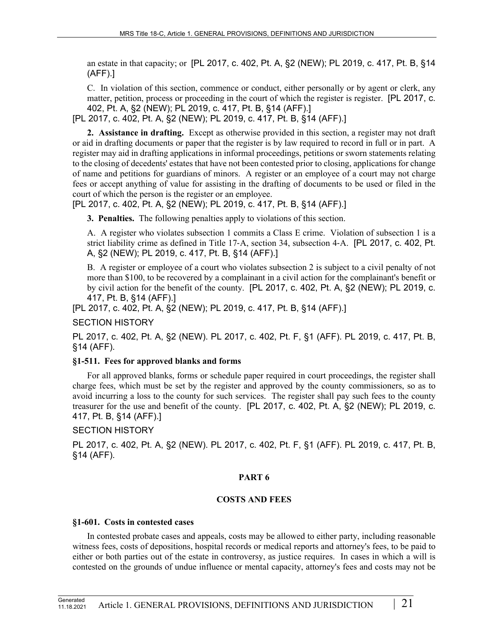an estate in that capacity; or [PL 2017, c. 402, Pt. A, §2 (NEW); PL 2019, c. 417, Pt. B, §14 (AFF).]

C. In violation of this section, commence or conduct, either personally or by agent or clerk, any matter, petition, process or proceeding in the court of which the register is register. [PL 2017, c. 402, Pt. A, §2 (NEW); PL 2019, c. 417, Pt. B, §14 (AFF).]

[PL 2017, c. 402, Pt. A, §2 (NEW); PL 2019, c. 417, Pt. B, §14 (AFF).]

**2. Assistance in drafting.** Except as otherwise provided in this section, a register may not draft or aid in drafting documents or paper that the register is by law required to record in full or in part. A register may aid in drafting applications in informal proceedings, petitions or sworn statements relating to the closing of decedents' estates that have not been contested prior to closing, applications for change of name and petitions for guardians of minors. A register or an employee of a court may not charge fees or accept anything of value for assisting in the drafting of documents to be used or filed in the court of which the person is the register or an employee.

[PL 2017, c. 402, Pt. A, §2 (NEW); PL 2019, c. 417, Pt. B, §14 (AFF).]

**3. Penalties.** The following penalties apply to violations of this section.

A. A register who violates subsection 1 commits a Class E crime. Violation of subsection 1 is a strict liability crime as defined in Title 17‑A, section 34, subsection 4‑A. [PL 2017, c. 402, Pt. A, §2 (NEW); PL 2019, c. 417, Pt. B, §14 (AFF).]

B. A register or employee of a court who violates subsection 2 is subject to a civil penalty of not more than \$100, to be recovered by a complainant in a civil action for the complainant's benefit or by civil action for the benefit of the county. [PL 2017, c. 402, Pt. A, §2 (NEW); PL 2019, c. 417, Pt. B, §14 (AFF).]

[PL 2017, c. 402, Pt. A, §2 (NEW); PL 2019, c. 417, Pt. B, §14 (AFF).]

SECTION HISTORY

PL 2017, c. 402, Pt. A, §2 (NEW). PL 2017, c. 402, Pt. F, §1 (AFF). PL 2019, c. 417, Pt. B, §14 (AFF).

### **§1-511. Fees for approved blanks and forms**

For all approved blanks, forms or schedule paper required in court proceedings, the register shall charge fees, which must be set by the register and approved by the county commissioners, so as to avoid incurring a loss to the county for such services. The register shall pay such fees to the county treasurer for the use and benefit of the county. [PL 2017, c. 402, Pt. A, §2 (NEW); PL 2019, c. 417, Pt. B, §14 (AFF).]

### SECTION HISTORY

PL 2017, c. 402, Pt. A, §2 (NEW). PL 2017, c. 402, Pt. F, §1 (AFF). PL 2019, c. 417, Pt. B, §14 (AFF).

### **PART 6**

### **COSTS AND FEES**

#### **§1-601. Costs in contested cases**

In contested probate cases and appeals, costs may be allowed to either party, including reasonable witness fees, costs of depositions, hospital records or medical reports and attorney's fees, to be paid to either or both parties out of the estate in controversy, as justice requires. In cases in which a will is contested on the grounds of undue influence or mental capacity, attorney's fees and costs may not be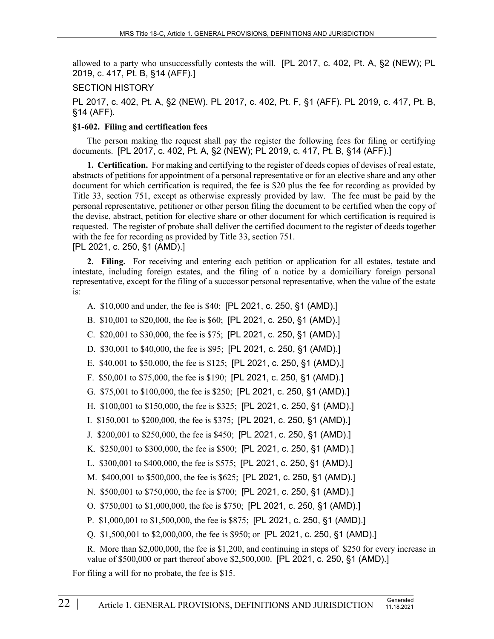allowed to a party who unsuccessfully contests the will. [PL 2017, c. 402, Pt. A, §2 (NEW); PL 2019, c. 417, Pt. B, §14 (AFF).]

#### SECTION HISTORY

PL 2017, c. 402, Pt. A, §2 (NEW). PL 2017, c. 402, Pt. F, §1 (AFF). PL 2019, c. 417, Pt. B, §14 (AFF).

#### **§1-602. Filing and certification fees**

The person making the request shall pay the register the following fees for filing or certifying documents. [PL 2017, c. 402, Pt. A, §2 (NEW); PL 2019, c. 417, Pt. B, §14 (AFF).]

**1. Certification.** For making and certifying to the register of deeds copies of devises of real estate, abstracts of petitions for appointment of a personal representative or for an elective share and any other document for which certification is required, the fee is \$20 plus the fee for recording as provided by Title 33, section 751, except as otherwise expressly provided by law. The fee must be paid by the personal representative, petitioner or other person filing the document to be certified when the copy of the devise, abstract, petition for elective share or other document for which certification is required is requested. The register of probate shall deliver the certified document to the register of deeds together with the fee for recording as provided by Title 33, section 751. [PL 2021, c. 250, §1 (AMD).]

**2. Filing.** For receiving and entering each petition or application for all estates, testate and intestate, including foreign estates, and the filing of a notice by a domiciliary foreign personal representative, except for the filing of a successor personal representative, when the value of the estate is:

- A. \$10,000 and under, the fee is \$40; [PL 2021, c. 250, §1 (AMD).]
- B. \$10,001 to \$20,000, the fee is \$60; [PL 2021, c. 250, §1 (AMD).]
- C. \$20,001 to \$30,000, the fee is \$75; [PL 2021, c. 250, §1 (AMD).]
- D. \$30,001 to \$40,000, the fee is \$95; [PL 2021, c. 250, §1 (AMD).]
- E. \$40,001 to \$50,000, the fee is \$125; [PL 2021, c. 250, §1 (AMD).]
- F. \$50,001 to \$75,000, the fee is \$190; [PL 2021, c. 250, §1 (AMD).]
- G. \$75,001 to \$100,000, the fee is \$250; [PL 2021, c. 250, §1 (AMD).]
- H. \$100,001 to \$150,000, the fee is \$325; [PL 2021, c. 250, §1 (AMD).]
- I. \$150,001 to \$200,000, the fee is \$375; [PL 2021, c. 250, §1 (AMD).]
- J. \$200,001 to \$250,000, the fee is \$450; [PL 2021, c. 250, §1 (AMD).]
- K. \$250,001 to \$300,000, the fee is \$500; [PL 2021, c. 250, §1 (AMD).]
- L. \$300,001 to \$400,000, the fee is \$575; [PL 2021, c. 250, §1 (AMD).]
- M. \$400,001 to \$500,000, the fee is \$625; [PL 2021, c. 250, §1 (AMD).]
- N. \$500,001 to \$750,000, the fee is \$700; [PL 2021, c. 250, §1 (AMD).]
- O. \$750,001 to \$1,000,000, the fee is \$750; [PL 2021, c. 250, §1 (AMD).]
- P. \$1,000,001 to \$1,500,000, the fee is \$875; [PL 2021, c. 250, §1 (AMD).]
- Q. \$1,500,001 to \$2,000,000, the fee is \$950; or [PL 2021, c. 250, §1 (AMD).]

R. More than \$2,000,000, the fee is \$1,200, and continuing in steps of \$250 for every increase in value of \$500,000 or part thereof above \$2,500,000. [PL 2021, c. 250, §1 (AMD).]

For filing a will for no probate, the fee is \$15.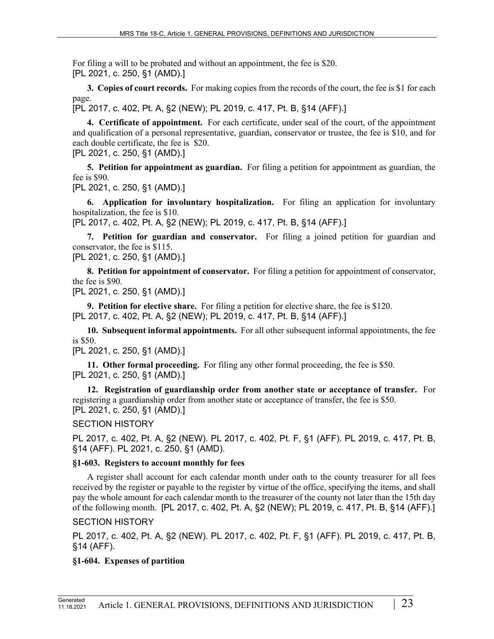For filing a will to be probated and without an appointment, the fee is \$20. [PL 2021, c. 250, §1 (AMD).]

**3. Copies of court records.** For making copies from the records of the court, the fee is \$1 for each page.

[PL 2017, c. 402, Pt. A, §2 (NEW); PL 2019, c. 417, Pt. B, §14 (AFF).]

**4. Certificate of appointment.** For each certificate, under seal of the court, of the appointment and qualification of a personal representative, guardian, conservator or trustee, the fee is \$10, and for each double certificate, the fee is \$20.

[PL 2021, c. 250, §1 (AMD).]

**5. Petition for appointment as guardian.** For filing a petition for appointment as guardian, the fee is \$90.

[PL 2021, c. 250, §1 (AMD).]

**6. Application for involuntary hospitalization.** For filing an application for involuntary hospitalization, the fee is \$10.

[PL 2017, c. 402, Pt. A, §2 (NEW); PL 2019, c. 417, Pt. B, §14 (AFF).]

**7. Petition for guardian and conservator.** For filing a joined petition for guardian and conservator, the fee is \$115.

[PL 2021, c. 250, §1 (AMD).]

**8. Petition for appointment of conservator.** For filing a petition for appointment of conservator, the fee is \$90.

[PL 2021, c. 250, §1 (AMD).]

**9. Petition for elective share.** For filing a petition for elective share, the fee is \$120. [PL 2017, c. 402, Pt. A, §2 (NEW); PL 2019, c. 417, Pt. B, §14 (AFF).]

**10. Subsequent informal appointments.** For all other subsequent informal appointments, the fee is \$50.

[PL 2021, c. 250, §1 (AMD).]

**11. Other formal proceeding.** For filing any other formal proceeding, the fee is \$50. [PL 2021, c. 250, §1 (AMD).]

**12. Registration of guardianship order from another state or acceptance of transfer.** For registering a guardianship order from another state or acceptance of transfer, the fee is \$50. [PL 2021, c. 250, §1 (AMD).]

SECTION HISTORY

PL 2017, c. 402, Pt. A, §2 (NEW). PL 2017, c. 402, Pt. F, §1 (AFF). PL 2019, c. 417, Pt. B, §14 (AFF). PL 2021, c. 250, §1 (AMD).

### **§1-603. Registers to account monthly for fees**

A register shall account for each calendar month under oath to the county treasurer for all fees received by the register or payable to the register by virtue of the office, specifying the items, and shall pay the whole amount for each calendar month to the treasurer of the county not later than the 15th day of the following month. [PL 2017, c. 402, Pt. A, §2 (NEW); PL 2019, c. 417, Pt. B, §14 (AFF).]

### SECTION HISTORY

PL 2017, c. 402, Pt. A, §2 (NEW). PL 2017, c. 402, Pt. F, §1 (AFF). PL 2019, c. 417, Pt. B, §14 (AFF).

## **§1-604. Expenses of partition**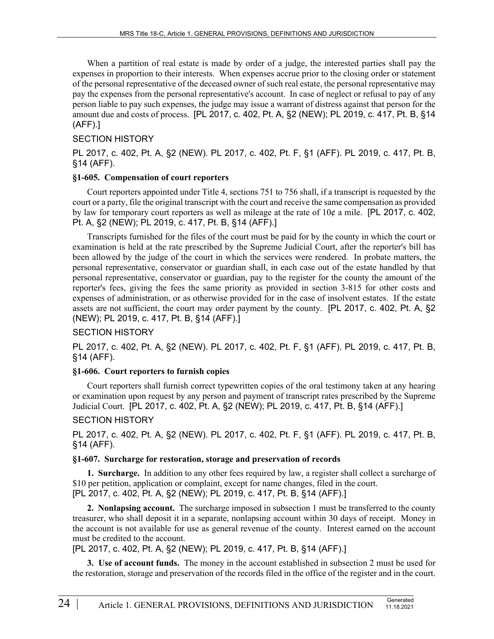When a partition of real estate is made by order of a judge, the interested parties shall pay the expenses in proportion to their interests. When expenses accrue prior to the closing order or statement of the personal representative of the deceased owner of such real estate, the personal representative may pay the expenses from the personal representative's account. In case of neglect or refusal to pay of any person liable to pay such expenses, the judge may issue a warrant of distress against that person for the amount due and costs of process. [PL 2017, c. 402, Pt. A, §2 (NEW); PL 2019, c. 417, Pt. B, §14 (AFF).]

### SECTION HISTORY

PL 2017, c. 402, Pt. A, §2 (NEW). PL 2017, c. 402, Pt. F, §1 (AFF). PL 2019, c. 417, Pt. B, §14 (AFF).

#### **§1-605. Compensation of court reporters**

Court reporters appointed under Title 4, sections 751 to 756 shall, if a transcript is requested by the court or a party, file the original transcript with the court and receive the same compensation as provided by law for temporary court reporters as well as mileage at the rate of  $10¢$  a mile. [PL 2017, c. 402, Pt. A, §2 (NEW); PL 2019, c. 417, Pt. B, §14 (AFF).]

Transcripts furnished for the files of the court must be paid for by the county in which the court or examination is held at the rate prescribed by the Supreme Judicial Court, after the reporter's bill has been allowed by the judge of the court in which the services were rendered. In probate matters, the personal representative, conservator or guardian shall, in each case out of the estate handled by that personal representative, conservator or guardian, pay to the register for the county the amount of the reporter's fees, giving the fees the same priority as provided in section 3‑815 for other costs and expenses of administration, or as otherwise provided for in the case of insolvent estates. If the estate assets are not sufficient, the court may order payment by the county. [PL 2017, c. 402, Pt. A, §2 (NEW); PL 2019, c. 417, Pt. B, §14 (AFF).]

### SECTION HISTORY

PL 2017, c. 402, Pt. A, §2 (NEW). PL 2017, c. 402, Pt. F, §1 (AFF). PL 2019, c. 417, Pt. B, §14 (AFF).

### **§1-606. Court reporters to furnish copies**

Court reporters shall furnish correct typewritten copies of the oral testimony taken at any hearing or examination upon request by any person and payment of transcript rates prescribed by the Supreme Judicial Court. [PL 2017, c. 402, Pt. A, §2 (NEW); PL 2019, c. 417, Pt. B, §14 (AFF).]

### SECTION HISTORY

PL 2017, c. 402, Pt. A, §2 (NEW). PL 2017, c. 402, Pt. F, §1 (AFF). PL 2019, c. 417, Pt. B, §14 (AFF).

### **§1-607. Surcharge for restoration, storage and preservation of records**

**1. Surcharge.** In addition to any other fees required by law, a register shall collect a surcharge of \$10 per petition, application or complaint, except for name changes, filed in the court. [PL 2017, c. 402, Pt. A, §2 (NEW); PL 2019, c. 417, Pt. B, §14 (AFF).]

**2. Nonlapsing account.** The surcharge imposed in subsection 1 must be transferred to the county treasurer, who shall deposit it in a separate, nonlapsing account within 30 days of receipt. Money in the account is not available for use as general revenue of the county. Interest earned on the account must be credited to the account.

[PL 2017, c. 402, Pt. A, §2 (NEW); PL 2019, c. 417, Pt. B, §14 (AFF).]

**3. Use of account funds.** The money in the account established in subsection 2 must be used for the restoration, storage and preservation of the records filed in the office of the register and in the court.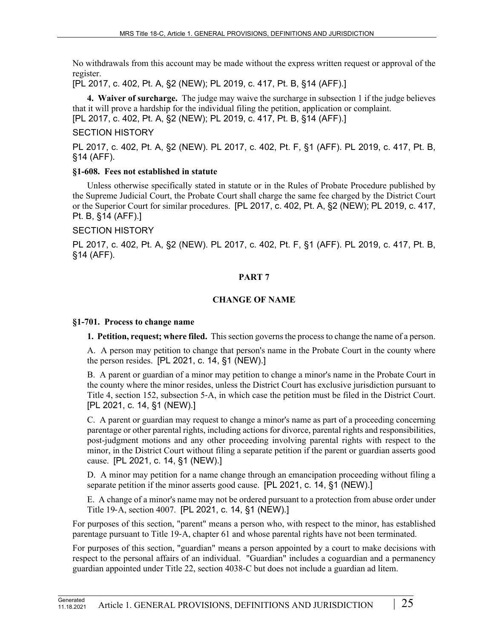No withdrawals from this account may be made without the express written request or approval of the register.

[PL 2017, c. 402, Pt. A, §2 (NEW); PL 2019, c. 417, Pt. B, §14 (AFF).]

**4. Waiver of surcharge.** The judge may waive the surcharge in subsection 1 if the judge believes that it will prove a hardship for the individual filing the petition, application or complaint. [PL 2017, c. 402, Pt. A, §2 (NEW); PL 2019, c. 417, Pt. B, §14 (AFF).]

#### SECTION HISTORY

PL 2017, c. 402, Pt. A, §2 (NEW). PL 2017, c. 402, Pt. F, §1 (AFF). PL 2019, c. 417, Pt. B, §14 (AFF).

#### **§1-608. Fees not established in statute**

Unless otherwise specifically stated in statute or in the Rules of Probate Procedure published by the Supreme Judicial Court, the Probate Court shall charge the same fee charged by the District Court or the Superior Court for similar procedures. [PL 2017, c. 402, Pt. A, §2 (NEW); PL 2019, c. 417, Pt. B, §14 (AFF).]

#### SECTION HISTORY

PL 2017, c. 402, Pt. A, §2 (NEW). PL 2017, c. 402, Pt. F, §1 (AFF). PL 2019, c. 417, Pt. B, §14 (AFF).

#### **PART 7**

### **CHANGE OF NAME**

#### **§1-701. Process to change name**

**1. Petition, request; where filed.** This section governs the process to change the name of a person.

A. A person may petition to change that person's name in the Probate Court in the county where the person resides. [PL 2021, c. 14, §1 (NEW).]

B. A parent or guardian of a minor may petition to change a minor's name in the Probate Court in the county where the minor resides, unless the District Court has exclusive jurisdiction pursuant to Title 4, section 152, subsection 5‑A, in which case the petition must be filed in the District Court. [PL 2021, c. 14, §1 (NEW).]

C. A parent or guardian may request to change a minor's name as part of a proceeding concerning parentage or other parental rights, including actions for divorce, parental rights and responsibilities, post-judgment motions and any other proceeding involving parental rights with respect to the minor, in the District Court without filing a separate petition if the parent or guardian asserts good cause. [PL 2021, c. 14, §1 (NEW).]

D. A minor may petition for a name change through an emancipation proceeding without filing a separate petition if the minor asserts good cause. [PL 2021, c. 14, §1 (NEW).]

E. A change of a minor's name may not be ordered pursuant to a protection from abuse order under Title 19‑A, section 4007. [PL 2021, c. 14, §1 (NEW).]

For purposes of this section, "parent" means a person who, with respect to the minor, has established parentage pursuant to Title 19‑A, chapter 61 and whose parental rights have not been terminated.

For purposes of this section, "guardian" means a person appointed by a court to make decisions with respect to the personal affairs of an individual. "Guardian" includes a coguardian and a permanency guardian appointed under Title 22, section 4038‑C but does not include a guardian ad litem.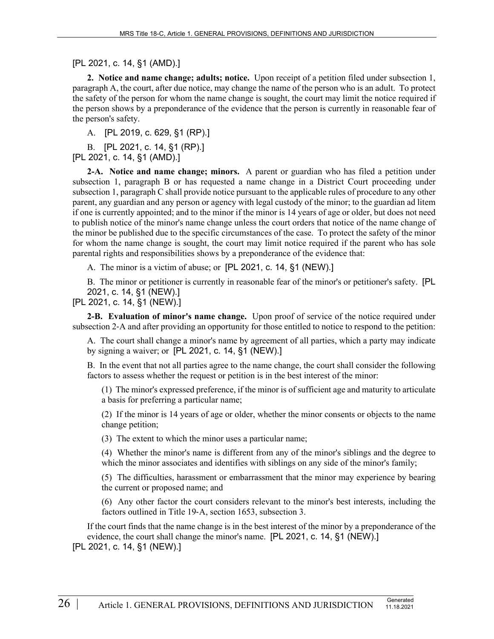[PL 2021, c. 14, §1 (AMD).]

**2. Notice and name change; adults; notice.** Upon receipt of a petition filed under subsection 1, paragraph A, the court, after due notice, may change the name of the person who is an adult. To protect the safety of the person for whom the name change is sought, the court may limit the notice required if the person shows by a preponderance of the evidence that the person is currently in reasonable fear of the person's safety.

A. [PL 2019, c. 629, §1 (RP).]

B. [PL 2021, c. 14, §1 (RP).] [PL 2021, c. 14, §1 (AMD).]

**2-A. Notice and name change; minors.** A parent or guardian who has filed a petition under subsection 1, paragraph B or has requested a name change in a District Court proceeding under subsection 1, paragraph C shall provide notice pursuant to the applicable rules of procedure to any other parent, any guardian and any person or agency with legal custody of the minor; to the guardian ad litem if one is currently appointed; and to the minor if the minor is 14 years of age or older, but does not need to publish notice of the minor's name change unless the court orders that notice of the name change of the minor be published due to the specific circumstances of the case. To protect the safety of the minor for whom the name change is sought, the court may limit notice required if the parent who has sole parental rights and responsibilities shows by a preponderance of the evidence that:

A. The minor is a victim of abuse; or [PL 2021, c. 14, §1 (NEW).]

B. The minor or petitioner is currently in reasonable fear of the minor's or petitioner's safety. [PL 2021, c. 14, §1 (NEW).]

[PL 2021, c. 14, §1 (NEW).]

**2-B. Evaluation of minor's name change.** Upon proof of service of the notice required under subsection 2-A and after providing an opportunity for those entitled to notice to respond to the petition:

A. The court shall change a minor's name by agreement of all parties, which a party may indicate by signing a waiver; or [PL 2021, c. 14, §1 (NEW).]

B. In the event that not all parties agree to the name change, the court shall consider the following factors to assess whether the request or petition is in the best interest of the minor:

(1) The minor's expressed preference, if the minor is of sufficient age and maturity to articulate a basis for preferring a particular name;

(2) If the minor is 14 years of age or older, whether the minor consents or objects to the name change petition;

(3) The extent to which the minor uses a particular name;

(4) Whether the minor's name is different from any of the minor's siblings and the degree to which the minor associates and identifies with siblings on any side of the minor's family;

(5) The difficulties, harassment or embarrassment that the minor may experience by bearing the current or proposed name; and

(6) Any other factor the court considers relevant to the minor's best interests, including the factors outlined in Title 19‑A, section 1653, subsection 3.

If the court finds that the name change is in the best interest of the minor by a preponderance of the evidence, the court shall change the minor's name. [PL 2021, c. 14, §1 (NEW).] [PL 2021, c. 14, §1 (NEW).]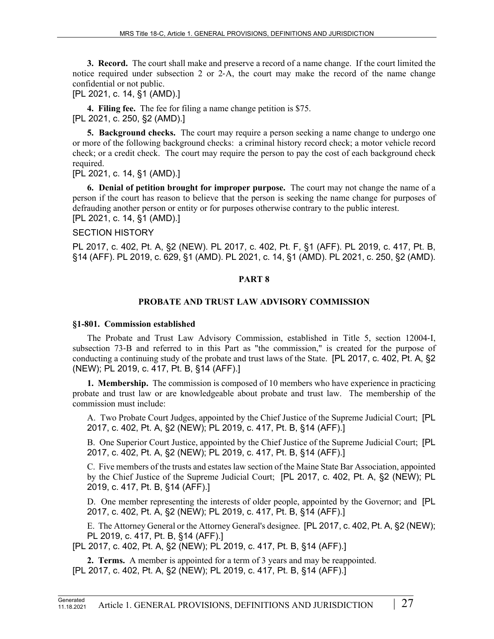**3. Record.** The court shall make and preserve a record of a name change. If the court limited the notice required under subsection 2 or 2–A, the court may make the record of the name change confidential or not public.

[PL 2021, c. 14, §1 (AMD).]

**4. Filing fee.** The fee for filing a name change petition is \$75. [PL 2021, c. 250, §2 (AMD).]

**5. Background checks.** The court may require a person seeking a name change to undergo one or more of the following background checks: a criminal history record check; a motor vehicle record check; or a credit check. The court may require the person to pay the cost of each background check required.

[PL 2021, c. 14, §1 (AMD).]

**6. Denial of petition brought for improper purpose.** The court may not change the name of a person if the court has reason to believe that the person is seeking the name change for purposes of defrauding another person or entity or for purposes otherwise contrary to the public interest. [PL 2021, c. 14, §1 (AMD).]

### SECTION HISTORY

PL 2017, c. 402, Pt. A, §2 (NEW). PL 2017, c. 402, Pt. F, §1 (AFF). PL 2019, c. 417, Pt. B, §14 (AFF). PL 2019, c. 629, §1 (AMD). PL 2021, c. 14, §1 (AMD). PL 2021, c. 250, §2 (AMD).

### **PART 8**

### **PROBATE AND TRUST LAW ADVISORY COMMISSION**

#### **§1-801. Commission established**

The Probate and Trust Law Advisory Commission, established in Title 5, section 12004‑I, subsection 73‑B and referred to in this Part as "the commission," is created for the purpose of conducting a continuing study of the probate and trust laws of the State. [PL 2017, c. 402, Pt. A, §2 (NEW); PL 2019, c. 417, Pt. B, §14 (AFF).]

**1. Membership.** The commission is composed of 10 members who have experience in practicing probate and trust law or are knowledgeable about probate and trust law. The membership of the commission must include:

A. Two Probate Court Judges, appointed by the Chief Justice of the Supreme Judicial Court; [PL 2017, c. 402, Pt. A, §2 (NEW); PL 2019, c. 417, Pt. B, §14 (AFF).]

B. One Superior Court Justice, appointed by the Chief Justice of the Supreme Judicial Court; [PL 2017, c. 402, Pt. A, §2 (NEW); PL 2019, c. 417, Pt. B, §14 (AFF).]

C. Five members of the trusts and estates law section of the Maine State Bar Association, appointed by the Chief Justice of the Supreme Judicial Court; [PL 2017, c. 402, Pt. A, §2 (NEW); PL 2019, c. 417, Pt. B, §14 (AFF).]

D. One member representing the interests of older people, appointed by the Governor; and [PL 2017, c. 402, Pt. A, §2 (NEW); PL 2019, c. 417, Pt. B, §14 (AFF).]

E. The Attorney General or the Attorney General's designee. [PL 2017, c. 402, Pt. A, §2 (NEW); PL 2019, c. 417, Pt. B, §14 (AFF).]

[PL 2017, c. 402, Pt. A, §2 (NEW); PL 2019, c. 417, Pt. B, §14 (AFF).]

**2. Terms.** A member is appointed for a term of 3 years and may be reappointed. [PL 2017, c. 402, Pt. A, §2 (NEW); PL 2019, c. 417, Pt. B, §14 (AFF).]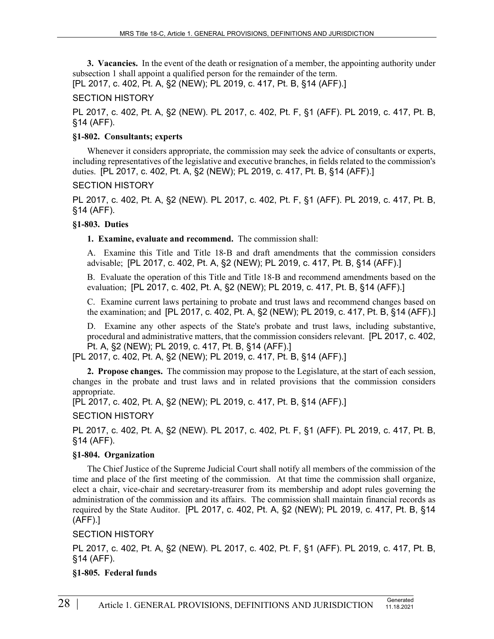**3. Vacancies.** In the event of the death or resignation of a member, the appointing authority under subsection 1 shall appoint a qualified person for the remainder of the term.

[PL 2017, c. 402, Pt. A, §2 (NEW); PL 2019, c. 417, Pt. B, §14 (AFF).]

# SECTION HISTORY

PL 2017, c. 402, Pt. A, §2 (NEW). PL 2017, c. 402, Pt. F, §1 (AFF). PL 2019, c. 417, Pt. B, §14 (AFF).

### **§1-802. Consultants; experts**

Whenever it considers appropriate, the commission may seek the advice of consultants or experts, including representatives of the legislative and executive branches, in fields related to the commission's duties. [PL 2017, c. 402, Pt. A, §2 (NEW); PL 2019, c. 417, Pt. B, §14 (AFF).]

### SECTION HISTORY

PL 2017, c. 402, Pt. A, §2 (NEW). PL 2017, c. 402, Pt. F, §1 (AFF). PL 2019, c. 417, Pt. B, §14 (AFF).

## **§1-803. Duties**

### **1. Examine, evaluate and recommend.** The commission shall:

A. Examine this Title and Title 18‑B and draft amendments that the commission considers advisable; [PL 2017, c. 402, Pt. A, §2 (NEW); PL 2019, c. 417, Pt. B, §14 (AFF).]

B. Evaluate the operation of this Title and Title 18‑B and recommend amendments based on the evaluation; [PL 2017, c. 402, Pt. A, §2 (NEW); PL 2019, c. 417, Pt. B, §14 (AFF).]

C. Examine current laws pertaining to probate and trust laws and recommend changes based on the examination; and [PL 2017, c. 402, Pt. A, §2 (NEW); PL 2019, c. 417, Pt. B, §14 (AFF).]

D. Examine any other aspects of the State's probate and trust laws, including substantive, procedural and administrative matters, that the commission considers relevant. [PL 2017, c. 402, Pt. A, §2 (NEW); PL 2019, c. 417, Pt. B, §14 (AFF).]

[PL 2017, c. 402, Pt. A, §2 (NEW); PL 2019, c. 417, Pt. B, §14 (AFF).]

**2. Propose changes.** The commission may propose to the Legislature, at the start of each session, changes in the probate and trust laws and in related provisions that the commission considers appropriate.

[PL 2017, c. 402, Pt. A, §2 (NEW); PL 2019, c. 417, Pt. B, §14 (AFF).]

SECTION HISTORY

PL 2017, c. 402, Pt. A, §2 (NEW). PL 2017, c. 402, Pt. F, §1 (AFF). PL 2019, c. 417, Pt. B, §14 (AFF).

## **§1-804. Organization**

The Chief Justice of the Supreme Judicial Court shall notify all members of the commission of the time and place of the first meeting of the commission. At that time the commission shall organize, elect a chair, vice-chair and secretary-treasurer from its membership and adopt rules governing the administration of the commission and its affairs. The commission shall maintain financial records as required by the State Auditor. [PL 2017, c. 402, Pt. A, §2 (NEW); PL 2019, c. 417, Pt. B, §14 (AFF).]

### SECTION HISTORY

PL 2017, c. 402, Pt. A, §2 (NEW). PL 2017, c. 402, Pt. F, §1 (AFF). PL 2019, c. 417, Pt. B, §14 (AFF).

### **§1-805. Federal funds**